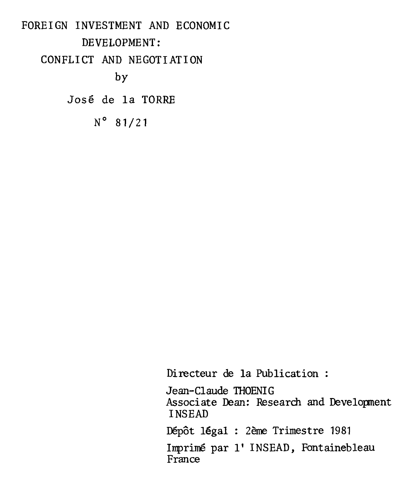FOREIGN INVESTMENT AND ECONOMIC DEVELOPMENT: CONFLICT AND NEGOTIATION by José de la TORRE N° 81/21

Directeur de la Publication :

Jean-Claude THOENIG Associate Dean: Research and Development INSEAD Dépôt légal : 2ème Trimestre 1981 Imprimé par l' INSEAD, Fontainebleau France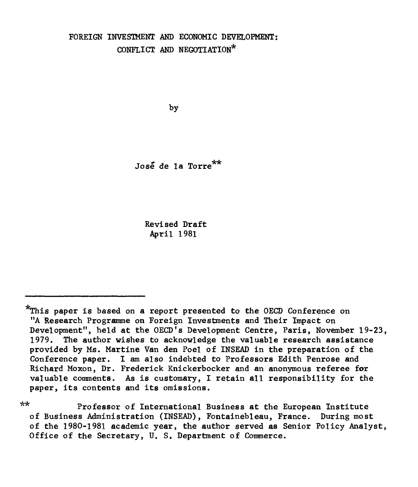# **FOREIGN INVESTMENT AND ECONOMIC DEVELOPMENT: CONFLICT AND NEGOTIATION\***

**by** 

**José de la Torre\*\*** 

**Revised Draft April 1981** 

**\*\* Professor of International Business at the European Institute of Business Administration (INSEAD), Fontainebleau, France. During most of the 1980-1981 academic year, the author served as Senior Policy Analyst, Office of the Secretary, U. S. Department of Commerce.** 

**<sup>\*</sup>This paper is based on a report presented to the OECD Conference on "A Research Programme on Foreign Investments and Their Impact on Development", held at the OECD's Development Centre, Paris, November 19-23, 1979. The author wishes to acknowledge the valuable research assistance provided by Ms. Martine Van den Poel of INSEAD in the preparation of the Conference paper. I am also indebted to Professors Edith Penrose and Richard Moxon, Dr. Frederick Knickerbocker and an anonymous referee for valuable comments. As is customary, I retain ail responsibility for the paper, its contents and its omissions.**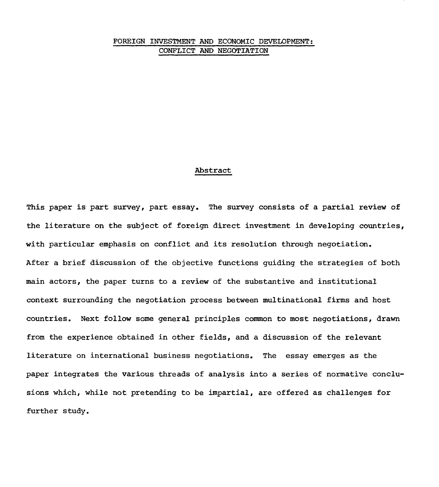# FOREIGN INVESTMENT AND ECONOMIC DEVELOPMENT: CONFLICT AND NEGOTIATION

### Abstract

This paper is part survey, part essay. The survey consists of a partial review of the literature on the subject of foreign direct investment in developing countries, with particular emphasis on conflict and its resolution through negotiation. After a brief discussion of the objective functions guiding the strategies of both main actors, the paper turns to a review of the substantive and institutional context surrounding the negotiation process between multinational firms and host countries. Next follow some general principles common to most negotiations, drawn from the experience obtained in other fields, and a discussion of the relevant literature on international business negotiations. The essay emerges as the paper integrates the various threads of analysis into a series of normative conclusions which, while not pretending to be impartial, are offered as challenges for further study.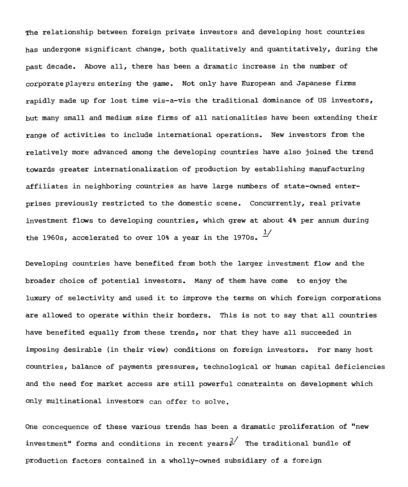The relationship between foreign private investors and developing host countries has undergone significant change, both qualitatively and quantitatively, during the **past** decade. Above all, there has been a dramatic increase in the number of corporateplayers entering the game. Not only have European and Japanese firms rapidly made up for lost time vis-a-vis the traditional dominance of US investors, but many small and medium size firms of all nationalities have been extending their range of activities to include international operations. New investors from the relatively more advanced among the developing countries have also joined the trend towards greater internationalization of production by establishing manufacturing affiliates in neighboring countries as have large numbers of state-owned enterprises previously restricted to the domestic scene. Concurrently, real private investment flows to developing countries, which grew at about **4%** per annum during the 1960s, accelerated to over 10% a year in the 1970s.  $^{1/2}$ 

Developing countries have benefited from both the larger investment flow and the broader choice of potential investors. Many of them have come to enjoy the luxury of selectivity and used it to improve the terras on which foreign corporations are allowed to operate within their borders. This is not to say that all countries have benefited equally from these trends, nor that they have all succeeded in imposing desirable (in their view) conditions on foreign investors. For many host countries, balance of payments pressures, technological or human capital deficiencies and the need for market access are still powerful constraints on development which only multinational investors can offer to solve.

One concequence of these various trends has been a dramatic prolifération of "new investment" forms and conditions in recent years $\frac{2}{r}$  The traditional bundle of production factors contained in a wholly-owned subsidiary of a foreign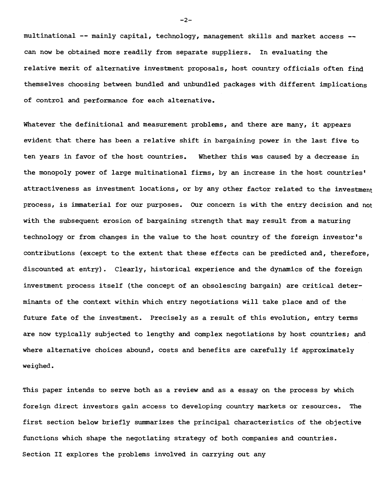multinational -- mainly capital, technology, management skills and market access - can now be obtained more readily from separate suppliers. In evaluating the relative merit of alternative investment proposais, host country officiais often find themselves choosing between bundled and unbundled packages with different implications of control and performance for each alternative.

Whatever the definitional and measurement problems, and there are many, it appears evident that there has been a relative shift in bargaining power in the last five to ten years in favor of the host countries. Whether this was caused by a decrease in the monopoly power of large multinational firms, by an increase in the host countries' attractiveness as investment locations, or by any other factor related to the investment process, is immaterial for our purposes. Our concern is with the entry decision and not with the subsequent erosion of bargaining strength that may result from a maturing technology or from changes in the value to the host country of the foreign investor's contributions (except to the extent that these effects can be predicted and, therefore, discounted at entry). Clearly, historical experience and the dynamics of the foreign investment process itself (the concept of an obsolescing bargain) are critical determinants of the context within which entry negotiations will take place and of the future fate of the investment. Precisely as a result of this evolution, entry terms are now typically subjected to lengthy and complex negotiations by host countries; and where alternative choices abound, costs and benefits are carefully if approximately weighed.

This paper intends to serve both as a review and as a essay on the process by which foreign direct investors gain access to developing country markets or resources. The first section below briefly summarizes the principal characteristics of the objective functions which shape the negotiating strategy of both companies and countries. Section II explores the problems involved in carrying out any

-2-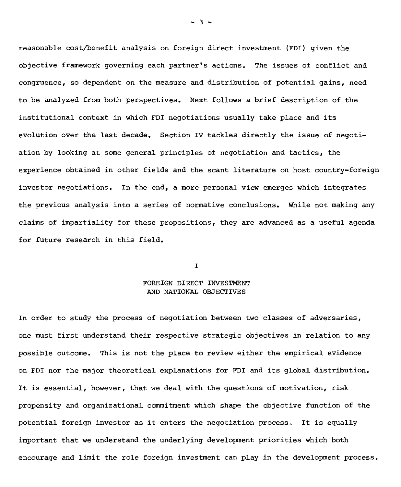reasonable cost/benefit analysis on foreign direct investment (FDI) given the objective framework governing each partner's actions. The issues of conflict and congruence, so dependent on the measure and distribution of potential gains, need to be analyzed from both perspectives. Next follows a brief description of the institutional context in which FDI negotiations usually take place and its evolution over the last decade. Section IV tackles directly the issue of negotiation by looking at some general principles of negotiation and tactics, the experience obtained in other fields and the scant literature on host country-foreign investor negotiations. In the end, a more personal view emerges which integrates the previous analysis into a series of normative conclusions. While not making any claims of impartiality for these propositions, they are advanced as a useful agenda for future research in this field.

I

# FOREIGN DIRECT INVESTMENT AND NATIONAL OBJECTIVES

In order to study the process of negotiation between two classes of adversaries, one must first understand their respective strategic objectives in relation to any possible outcome. This is not the place to review either the empirical evidence on FDI nor the major theoretical explanations for FDI and its global distribution. It is essential, however, that we deal with the questions of motivation, risk propensity and organizational commitment which shape the objective function of the potential foreign investor as it enters the negotiation process. It is equally important that we understand the underlying development priorities which both encourage and limit the role foreign investment can play in the development process.

 $-3 -$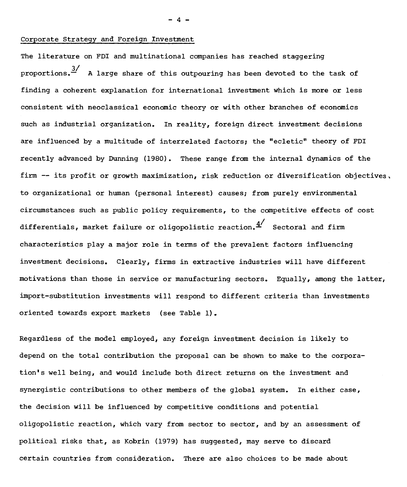# Corporate Strategy and Foreign Investment

The literature on FDI and multinational companies has reached staggering proportions.<sup>3/</sup> A large share of this outpouring has been devoted to the task of finding a coherent explanation for international investment which is more or less consistent with neoclassical economic theory or with other branches of economics such as industrial organization. In reality, foreign direct investment decisions are influenced by a multitude of interrelated factors; the "ecletic" theory of FDI recently advanced by Dunning (1980). These range from the internai dynamics of the firm  $-$  its profit or growth maximization, risk reduction or diversification objectives, to organizational or human (personal interest) causes; from purely environmental circumstances such as public policy requirements, to the competitive effects of cost differentials, market failure or oligopolistic reaction. $4'$  Sectoral and firm characteristics play a major role in terms of the prevalent factors influencing investment decisions. Clearly, firms in extractive industries will have different motivations than those in service or manufacturing sectors. Equally, among the latter, import-substitution investments will respond to different criteria than investments oriented towards export markets (see Table 1).

Regardless of the model employed, any foreign investment decision is likely to depend on the total contribution the proposai can be shown to make to the corporation's well being, and would include both direct returns on the investment and synergistic contributions to other members of the global system. In either case, the decision will be influenced by competitive conditions and potential oligopolistic reaction, which vary from sector to sector, and by an assessment of political risks that, as Kobrin (1979) has suggested, may serve to discard certain countries from consideration. There are also choices to be made about

 $- 4 -$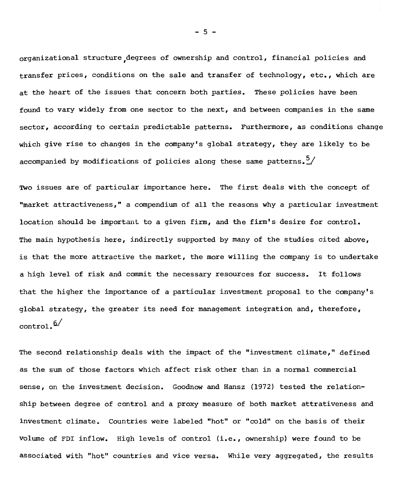organizational structure,degrees of ownership and control, financial policies and transfer prices, conditions on the sale and transfer of technology, etc., which are at the heart of the issues that concern both parties. These policies have been found to vary widely from one sector to the next, and between companies in the same sector, according to certain predictable patterns. Furthermore, as conditions change which give rise to changes in the company's global strategy, they are likely to be accompanied by modifications of policies along these same patterns.<sup>5</sup>/

Two issues are of particular importance here. The first deals with the concept of "market attractiveness," a compendium of all the reasons why a particular investment location should be important to a given firm, and the firm's desire for control. The main hypothesis here, indirectly supported by many of the studies cited above, is that the more attractive the market, the more willing the company is to undertake a high level of risk and commit the necessary resources for success. It follows that the higher the importance of a particular investment proposai to the company's global strategy, the greater its need for management integration and, therefore,  $control.\n<sup>6/</sup>$ 

The second relationship deals with the impact of the "investment climate," defined as the sum of those factors which affect risk other than in a normal commercial sense, on the investment decision. Goodnow and Hansz (1972) tested the relationship between degree of control and a proxy measure of both market attrativeness and investment climate. Countries were labeled "hot" or "cold" on the basis of their volume of FDI inflow. High levels of control (i.e., ownership) were found to be associated with "hot" countries and vice versa. While very aggregated, the results

- 5 -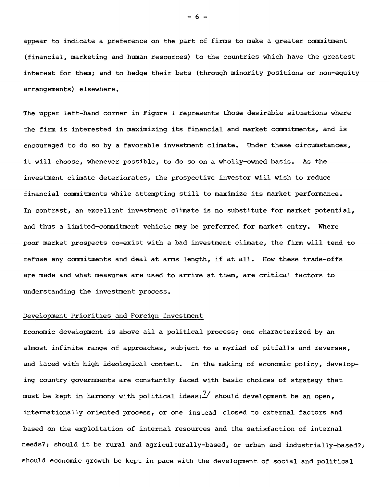appear to indicate a preference on the part of firms to make a greater commitment (financial, marketing and human resources) to the countries which have the greatest interest for them; and to hedge their bets (through minority positions or non-equity arrangements) elsewhere.

The upper left-hand corner in Figure 1 represents those desirable situations where the firm is interested in maximizing its financial and market commitments, and is encouraged to do so by a favorable investment climate. Under these circumstances, it will choose, whenever possible, to do so on a wholly-owned basis. As the investment climate deteriorates, the prospective investor will wish to reduce financial commitments while attempting still to maximize its market performance. In contrast, an excellent investment climate is no substitute for market potential, and thus a limited-commitment vehicle may be preferred for market entry. Where poor market prospects co-exist with a bad investment climate, the firm will tend to refuse any commitments and deal at arms length, if at ail. How these trade-offs are made and what measures are used to arrive at them, are critical factors to understanding the investment process.

### Development Priorities and Foreign Investment

Economic development is above ail a political process; one characterized by an almost infinite range of approaches, subject to a myriad of pitfalls and reverses, and laced with high ideological content. In the making of economic policy, developing country governments are constantly faced with basic choices of strategy that must be kept in harmony with political ideas: $\frac{7}{1}$  should development be an open, internationally oriented process, or one instead closed to external factors and based on the exploitation of internai resources and the satisfaction of internai needs?; should it be rural and agriculturally-based, or urban and industrially-based?; should economic growth be kept in pace with the development of social and political

 $- 6 -$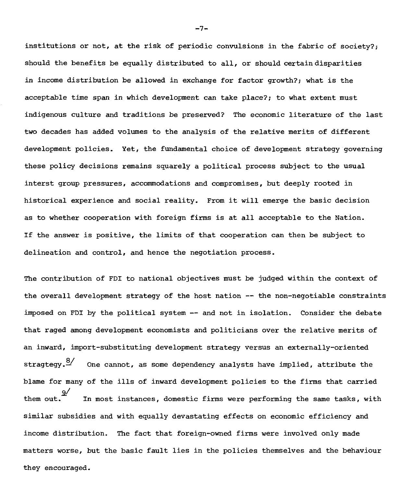institutions or not, at the risk of periodic convulsions in the fabric of society?; should the benefits be equally distributed to ail, or should certain disparities in income distribution be allowed in exchange for factor growth?; what is the acceptable time span in which development can take place?; to what extent must indigenous culture and traditions be preserved? The economic literature of the last two decades has added volumes to the analysis of the relative merits of different development policies. Yet, the fundamental choice of development strategy governing these policy decisions remains squarely a political process subject to the usual interst group pressures, accommodations and compromises, but deeply rooted in historical experience and social reality. From it will emerge the basic decision as to whether cooperation with foreign firms is at ail acceptable to the Nation. If the answer is positive, the limits of that cooperation can then be subject to delineation and control, and hence the negotiation process.

The contribution of FDI to national objectives must be judged within the context of the overall development strategy of the host nation -- the non-negotiable constraints imposed on FDI by the political system -- and not in isolation. Consider the debate that raged among development economists and politicians over the relative merits of an inward, import-substituting development strategy versus an externally-oriented stragtegy.<sup>8/</sup> One cannot, as some dependency analysts have implied, attribute the blame for many of the ills of inward development policies to the firms that carried them out.  $\frac{9}{2}$ In most instances, domestic firms were performing the same tasks, with similar subsidies and with equally devastating effects on economic efficiency and income distribution. The fact that foreign-owned firms were involved only made matters worse, but the basic fault lies in the policies themselves and the behaviour they encouraged.

 $-7-$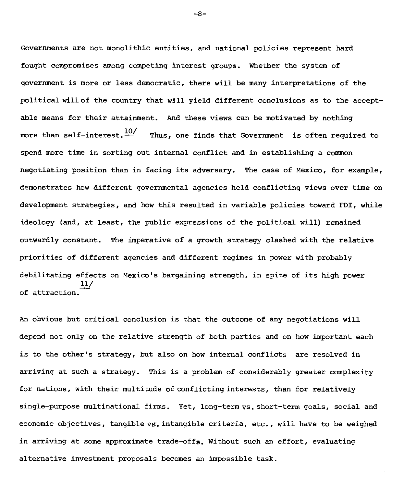Governments are not monolithic entities, and national policies represent hard fought compromises among competing interest groups. Whether the system of government is more or less democratic, there will be many interpretations of the political will of the country that will yield different conclusions as to the acceptable means for their attainment. And these views can be motivated by nothing more than self-interest.  $\frac{10}{10}$  Thus, one finds that Government is often required to spend more time in sorting out internai conflict and in establishing a common negotiating position than in facing its adversary. The case of Mexico, for example, demonstrates how different governmental agencies held conflicting views over time on development strategies, and how this resulted in variable policies toward FDI, while ideology (and, at least, the public expressions of the political will) remained outwardly constant. The imperative of a growth strategy clashed with the relative priorities of different agencies and different regimes in power with probably debilitating effects on Mexico's bargaining strength, in spite of its high power 11/ of attraction.

An obvious but critical conclusion is that the outcome of any negotiations will depend not only on the relative strength of both parties and on how important each is to the other's strategy, but also on how internai conflicts are resolved in arriving at such a strategy. This is a problem of considerably greater complexity for nations, with their multitude of conflicting interests, than for relatively single-purpose multinational firms. Yet, long-term vs, short-term goals, social and economic objectives, tangible vs, intangible criteria, etc., will have to be weighed in arriving at some approximate trade-offs. Without such an effort, evaluating alternative investment proposais becomes an impossible task.

-8-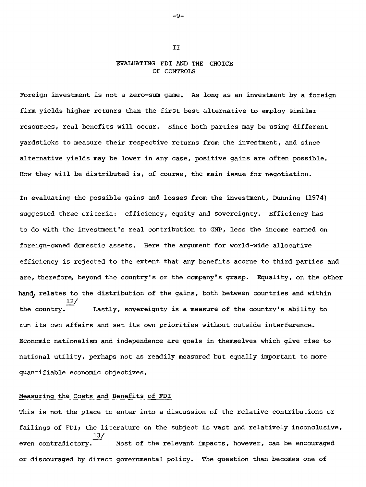## EVALUATING FDI AND THE CHOICE OF CONTROLS

Foreign investment is not a zero-sum game. As long as an investment by a foreign firm yields higher retunrs than the first best alternative to employ similar resources, real benefits will occur. Since both parties may be using different yardsticks to measure their respective returns from the investment, and since alternative yields may be lower in any case, positive gains are often possible. How they will be distributed is, of course, the main issue for negotiation.

In evaluating the possible gains and losses from the investment, Dunning (1974) suggested three criteria: efficiency, equity and sovereignty. Efficiency has to do with the investment's real contribution to GNP, less the income earned on foreign-owned domestic assets. Here the argument for world-wide allocative efficiency is rejected to the extent that any benefits accrue to third parties and are, therefore, beyond the country's or the company's grasp. Equality, on the other hand, relates to the distribution of the gains, both between countries and within 12/ the country. Lastly, sovereignty is a measure of the country's ability to run its own affairs and set its own priorities without outside interference. Economic nationalism and independence are goals in themselves which give rise to national utility, perhaps not as readily measured but equally important to more quantifiable economic objectives.

## Measuring the Costs and Benefits of FDI

This is not the place to enter into a discussion of the relative contributions or failings of FDI; the literature on the subject is vast and relatively inconclusive, 13/ even contradictory.  $\Box$  Most of the relevant impacts, however, can be encouraged or discouraged by direct governmental policy. The question than becomes one of

T<sub>T</sub>

-9-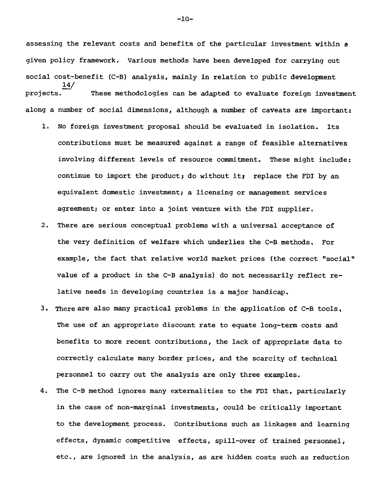assessing the relevant costs and benefits of the particular investment within a given policy framework. Various methods have been developed for carrying out social cost-benefit (C-B) analysis, mainly in relation to public development 14/ projects. These methodologies can be adapted to evaluate foreign investment along a number of social dimensions, although a number of caveats are important:

- 1. No foreign investment proposai should be evaluated in isolation. Its contributions must be measured against a range of feasible alternatives involving different levels of resource commitment. These might include: continue to import the product; do without it; replace the FDI by an equivalent domestic investment; a licensing or management services agreement; or enter into a joint venture with the FDI supplier.
- 2. There are serious conceptuel problems with a universal acceptance of the very definition of welfare which underlies the C-B methods. For example, the fact that relative world market prices (the correct "social" value of a product in the C-B analysis) do not necessarily reflect relative needs in developing countries is a major handicap.
- 3. There are also many practical problems in the application of  $C-B$  tools. The use of an appropriate discount rate to equate long-term costs and benefits to more recent contributions, the Jack of appropriate data to correctly calculate many border prices, and the scarcity of technical personnel to carry out the analysis are only three examples.
- 4. The C-B method ignores many externalities to the FDI that, particularly in the case of non-marginal investments, could be critically important to the development process. Contributions such as linkages and learning effects, dynamic competitive effects, spill-over of trained personnel, etc., are ignored in the analysis, as are hidden costs such as reduction

-10-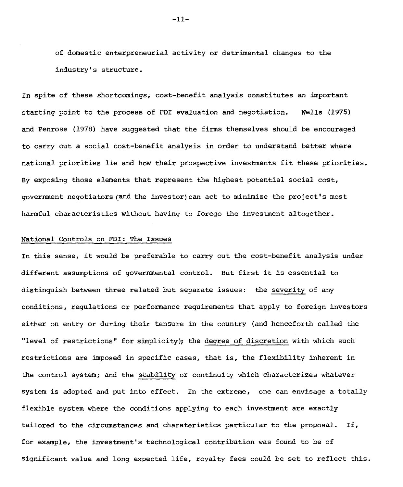of domestic enterpreneurial activity or detrimental changes to the industry's structure.

In spite of these shortcomings, cost-benefit analysis constitutes an important starting point to the process of FDI evaluation and negotiation. Wells (1975) and Penrose (1978) have suggested that the firms themselves should be encouraged to carry out a social cost-benefit analysis in order to understand better where national priorities lie and how their prospective investments fit these priorities. By exposing those elements that represent the highest potential social  $cost,$ government negotiators(and the investor)can act to minimize the project's most harmful characteristics without having to forego the investment altogether.

#### National Controls on FDI: The Issues

In this sense, it would be preferable to carry out the cost-benefit analysis under different assomptions of governmental control. But first it is essential to distinquish between three related but separate issues: the severity of any conditions, regulations or performance requirements that apply to foreign investors either on entry or during their tensure in the country (and henceforth called the "level of restrictions" for simplicity); the degree of discretion with which such restrictions are imposed in specific cases, that is, the flexibility inherent in the control system; and the stability or continuity which characterizes whatever system is adopted and put into effect. In the extreme, one can envisage a totally flexible system where the conditions applying to each investment are exactly tailored to the circumstances and charateristics particular to the proposai. If, for example, the investment's technological contribution was found to be of significant value and long expected life, royalty fees could be set to reflect this.

 $-11-$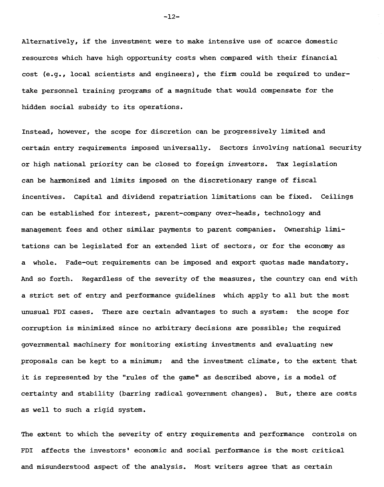Alternatively, if the investment were to make intensive use of scarce domestic resources which have high opportunity costs when compared with their financial cost (e.g., local scientists and engineers), the firm could be required to undertake personnel training programs of a magnitude that would compensate for the hidden social subsidy to its operations.

Instead, however, the scope for discretion can be progressively limited and certain entry requirements imposed universally. Sectors involving national security or high national priority can be closed to foreign investors. Tax legislation can be harmonized and limits imposed on the discretionary range of fiscal incentives. Capital and dividend repatriation limitations can be fixed. Ceilings can be established for interest, parent-company over-heads, technology and management fees and other similar payments to parent companies. Ownership limitations can be legislated for an extended list of sectors, or for the economy as a whole. Fade-out requirements can be imposed and export quotas made mandatory. And so forth. Regardless of the severity of the measures, the country can end with a strict set of entry and performance guidelines which apply to ail but the most unusual FDI cases. There are certain advantages to such a system: the scope for corruption is minimized since no arbitrary decisions are possible; the required governmental machinery for monitoring existing investments and evaluating new proposais can be kept to a minimum; and the investment climate, to the extent that it is represented by the "rules of the game" as described above, is a model of certainty and stability (barring radical government changes). But, there are costs as well to such a rigid system.

The extent to which the severity of entry requirements and performance controls on FDI affects the investors' economic and social performance is the most critical and misunderstood aspect of the analysis. Most writers agree that as certain

-12-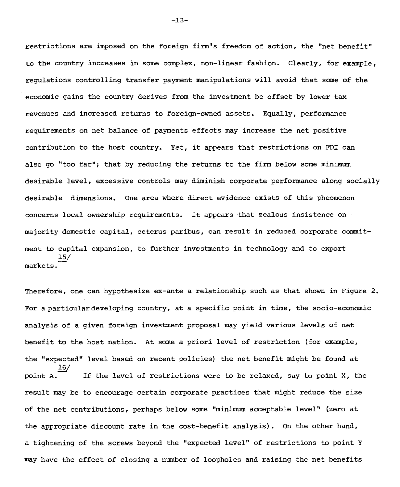restrictions are imposed on the foreign firm's freedom of action, the "net benefit" to the country increases in some complex, non-linear fashion. Clearly, for example, regulations controlling transfer payment manipulations will avoid that some of the economic gains the country derives from the investment be offset by lower tax revenues and increased returns to foreign-owned assets. Equally, performance requirements on net balance of payments effects may increase the net positive contribution to the host country. Yet, it appears that restrictions on FDI can also go "too far"; that by reducing the returns to the firm below some minimum desirable level, excessive controls may diminish corporate performance along socially desirable dimensions. One area where direct evidence exists of this pheomenon concerns local ownership requirements. It appears that zealous insistence on majority domestic capital, ceterus paribus, can result in reduced corporate commitment to capital expansion, to further investments in technology and to export 15/ markets.

Therefore, one can hypothesize ex-ante a relationship such as that shown in Figure 2. For a particular developing country, at a specific point in time, the socio-economic analysis of a given foreign investment proposai may yield various levels of net benefit to the host nation. At some a priori level of restriction (for example, the "expected" level based on recent policies) the net benefit might be found at 16/ point  $A$ . If the level of restrictions were to be relaxed, say to point X, the result may be to encourage certain corporate practices that might reduce the size of the net contributions, perhaps below some "minimum acceptable level" (zero at the appropriate discount rate in the cost-benefit analysis). On the other hand, a tightening of the screws beyond the "expected level" of restrictions to point Y may have the effect of closing a number of loopholes and raising the net benefits

-13-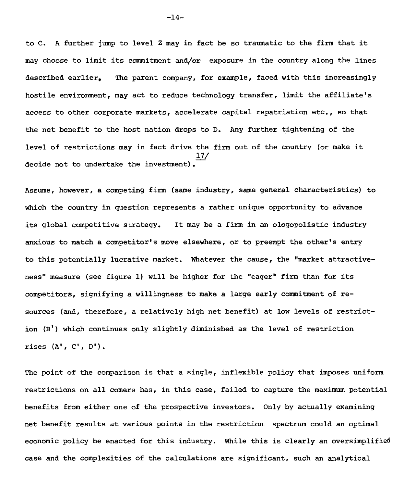to C. A further jump to level Z may in fact be so traumatic to the firm that it may choose to limit its commitment and/or exposure in the country along the lines described earlier, The parent company, for example, faced with this increasingly hostile environment, may act to reduce technology transfer, limit the affiliate's access to other corporate markets, accelerate capital repatriation etc., so that the net benefit to the host nation drops to D. Any further tightening of the level of restrictions may in fact drive the firm out of the country (or make it 17/ decide not to undertake the investment).

Assume, however, a competing firm (same industry, same general characteristics) to which the country in question represents a rather unique opportunity to advance its global competitive strategy. It may be a firm in an ologopolistic industry anxious to match a competitor's move elsewhere, or to preempt the other's entry to this potentially lucrative market. Whatever the cause, the "market attractiveness" measure (see figure 1) will be higher for the "eager" firm than for its competitors, signifying a willingness to make a large early commitment of resources (and, therefore, a relatively high net benefit) at low levels of restriction (B') which continues only slightly diminished as the level of restriction rises  $(A^{\dagger}, C^{\dagger}, D^{\dagger})$ .

The point of the comparison is that a single, inflexible policy that imposes uniform restrictions on all comers has, in this case, failed to capture the maximum potential benefits from either one of the prospective investors. Only by actually examining net benefit results at various points in the restriction spectrum could an optimal economic policy be enacted for this industry. While this is clearly an oversimplified case and the complexities of the calculations are significant, such an analytical

-14-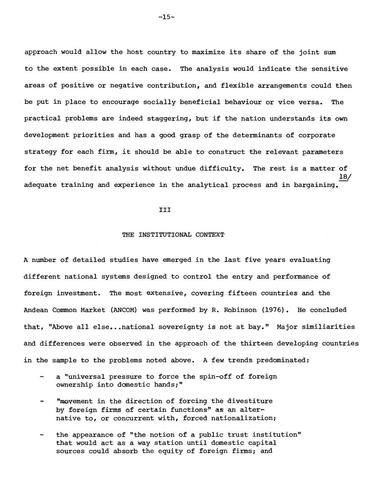approach would allow the host country to maximize its share of the joint sum to the extent possible in each case. The analysis would indicate the sensitive areas of positive or negative contribution, and flexible arrangements could then be put in place to encourage socially beneficial behaviour or vice versa. The practical problems are indeed staggering, but if the nation understands its own development priorities and has a good grasp of the determinants of corporate strategy for each firm, it should be able to construct the relevant parameters for the net benefit analysis without undue difficulty. The rest is a matter of 18/ adequate training and experience in the analytical process and in bargaining.

#### III

#### THE INSTITUTIONAL CONTEXT

A number of detailed studies have emerged in the last five years evaluating different national systems designed to control the entry and performance of foreign investment. The most extensive, covering fifteen countries and the Andean Common Market (ANCOM) was performed by R. Robinson (1976). He concluded that, "Above ail else...national sovereignty is not at bay." Major similiarities and differences were observed in the approach of the thirteen developing countries in the sample to the problems noted above. A few trends predominated:

- a "universal pressure to force the spin-off of foreign ownership into domestic hands;"
- "movement in the direction of forcing the divestiture by foreign firms of certain functions" as an alternative to, or concurrent with, forced nationalization;
- the appearance of "the notion of a public trust institution" that would act as a way station until domestic capital sources could absorb the equity of foreign firms; and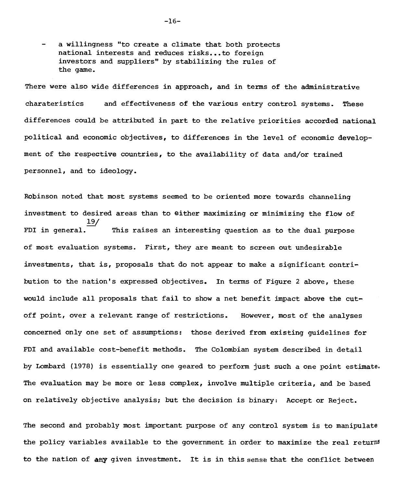a willingness "to create a climate that both protects national interests and reduces risks...to foreign investors and suppliers" by stabilizing the rules of the game.

There were also wide differences in approach, and in terms of the administrative charateristics and effectiveness of the various entry control systems. These differences could be attributed in part to the relative priorities accorded national political and economic objectives, to differences in the level of economic development of the respective countries, to the availability of data and/or trained personnel, and to ideology.

Robinson noted that most systems seemed to be oriented more towards channeling investment to desired areas than to either maximizing or minimizing the flow of 19/ FDI in general. This raises an interesting question as to the dual purpose of most evaluation systems. First, they are meant to screen out undesirable investments, that is, proposals that do not appear to make a significant contribution to the nation's expressed objectives. In terms of Figure 2 above, these would include all proposals that fail to show a net benefit impact above the cutoff point, over a relevant range of restrictions. However, most of the analyses concerned only one set of assumptions: those derived from existing guidelines for FDI and available cost-benefit methods. The Colombian system described in detail by Lombard (1978) is essentially one geared to perform just such a one point estimate. The evaluation may be more or less complex, involve multiple criteria, and be based on relatively objective analysis; but the decision is binary: Accept or Reject.

The second and probably most important purpose of any control system is to manipulate the policy variables available to the government in order to maximize the real returns to the nation of any given investment. It is in this sense that the conflict between

-16-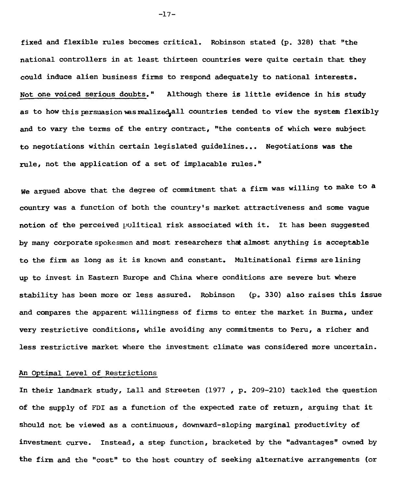**fixed and flexible rules becomes critical. Robinson stated (p. 328) that "the national controllers in at least thirteen countries were quite certain that they could induce alien business firms to respond adequately to national interests. Not one voiced serious doubts." Although there is little evidence in his study**  as to how this persuasion was realized, all countries tended to view the system flexibly and to vary the terms of the entry contract, "the contents of which were subject **to negotiations within certain legislated guidelines... Negotiations was the rule, not the application of a set of implacable rules."** 

**We argued above that the degree of commitment that a firm was willing to make to a country was a function of both the country's market attractiveness and some vague notion of the perceived political risk associated with it. It has been suggested**  by many corporate spokesmen and most researchers that almost anything is acceptable **to the firm as long as it is known and constant. Multinational firms are lining up to invest in Eastern Europe and China where conditions are severe but where stability has been more or less assured. Robinson (p. 330) also raises this issue**  and compares the apparent willingness of firms to enter the market in Burma, under **very restrictive conditions, while avoiding any commitments to Peru, a richer and less restrictive market where the investment climate was considered more uncertain.** 

## **An Optimal Level of Restrictions**

**In their landmark study, Lall and Streeten (1977 , p. 209-210) tackled the question of the supply of FDI as a function of the expected rate of return, arguing that it should not be viewed as a continuous, downward-sloping marginal productivity of investment curve. Instead, a step function, bracketed by the "advantages" owned by the firm and the "cost" to the host country of seeking alternative arrangements (or** 

-17-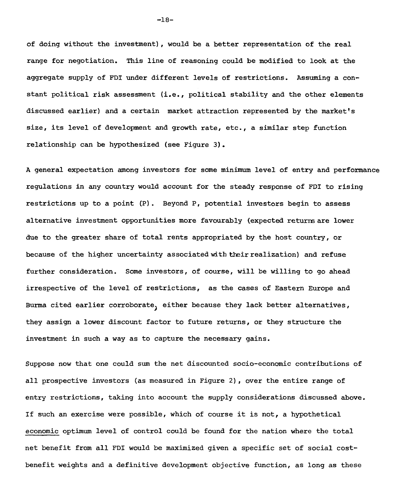of doing without the investment), would be a better representation of the real range for negotiation. This line of reasoning could be modified to look at the aggregate supply of FDI under différent levels of restrictions. Assuming a constant political risk assessment (i.e., political stability and the other elements discussed earlier) and a certain market attraction represented by the market's size, its level of development and growth rate, etc., a similar step function relationship can be hypothesized (see Figure 3).

A general expectation among investors for some minimum level of entry and performance regulations in any country would account for the steady response of FDI to rising restrictions up to a point (P). Beyond P, potential investors begin to assess alternative investment opportunities more favourably (expected returns are lower due to the greater share of total rents appropriated by the host country, or because of the higher uncertainty associated with their realization) and refuse further consideration. Some investors, of course, will be willing to go ahead irrespective of the level of restrictions, as the cases of Eastern Europe and Burma cited earlier corroborate) either because they lack better alternatives, they assign a lower discount factor to future returns, or they structure the investment in such a way as to capture the necessary gains.

Suppose now that one could sum the net discounted socio-economic contributions of ail prospective investors (as measured in Figure 2), over the entire range of entry restrictions, taking into account the supply considerations discussed above. If such an exercise were possible, which of course it is not, a hypothetical economic optimum level of control could be found for the nation where the total net benefit from all FDI would be maximized given a specific set of social costbenefit weights and a definitive development objective function, as long as these

-18-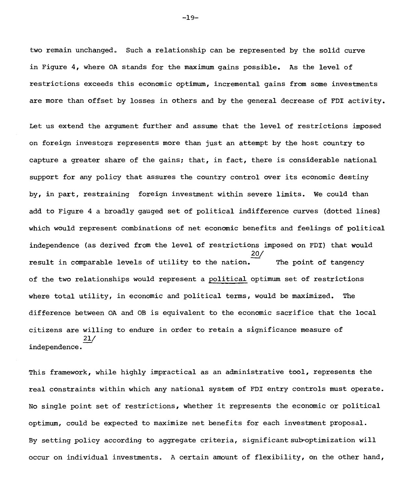two remain unchanged. Such a relationship can be represented by the solid curve in Figure 4, where OA stands for the maximum gains possible. As the level of restrictions exceeds this economic optimum, incremental gains from some investments are more than offset by losses in others and by the general decrease of FDI activity.

Let us extend the argument further and assume that the level of restrictions imposed on foreign investors represents more than just an attempt by the host country to capture a greater share of the gains; that, in fact, there is considerable national support for any policy that assures the country control over its economic destiny by, in part, restraining foreign investment within severe limits. We could than add to Figure 4 a broadly gauged set of political indifference curves (dotted lines} which would represent combinations of net economic benefits and feelings of political independence (as derived from the level of restrictions imposed on FDI) that would 20/ result in comparable levels of utility to the nation.— The point of tangency of the two relationships would represent a political optimum set of restrictions where total utility, in economic and political terms, would be maximized. The difference between OA and OB is equivalent to the economic sacrifice that the local citizens are willing to endure in order to retain a significance measure of 21/ independence.

This framework, while highly impractical as an administrative tool, represents the real constraints within which any national system of FDI entry controls must operate. No single point set of restrictions, whether it represents the economic or political optimum, could be expected to maximize net benefits for each investment proposai. By setting policy according to aggregate criteria, significant sub-optimization will occur on individual investments. A certain amount of flexibility, on the other band,

-19-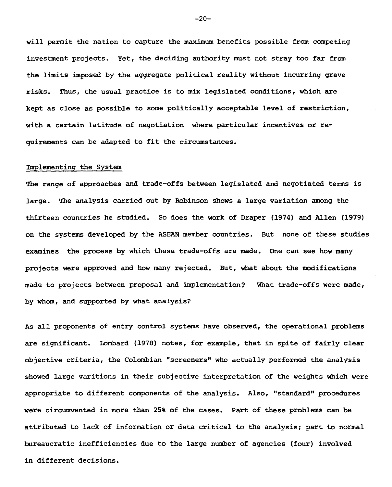**will permit the nation to capture the maximum benefits possible from competing investment projects. Yet, the deciding authority must not stray too far from the limits imposed by the aggregate political reality without incurring grave risks. Thus, the usual practice is to mix legislated conditions, which are kept as close as possible to some politically acceptable level of restriction, with a certain latitude of negotiation where particular incentives or requirements can be adapted to fit the circumstances.** 

#### **implementing the System**

**The range of approaches and trade-offs between legislated and negotiated ternis is large. The analysis carried out by Robinson shows a large variation among the thirteen countries he studied. So does the work of Draper (1974) and Allen (1979) on the systems developed by the ASEAN member countries. But none of these studies examines the process by which these trade-offs are made. One can see how many projects were approved and how many rejected. But, what about the modifications made to projects between proposai and implementation? What trade-offs were made, by whom, and supported by what analysis?** 

**As ail proponents of entry control systems have observed, the operational problems are significant. Lombard (1978) notes, for example, that in spite of fairly clear objective criteria, the Colombian "screeners" who actually performed the analysis showed large vantions in their subjective interpretation of the weights which were appropriate to different components of the analysis. Also, "standard" procedures were circumvented in more than 25% of the cases. Part of these problems can be attributed to lack of information or data critical to the analysis; part to normal bureaucratic inefficiencies due to the large number of agencies (four) involved in different decisions.** 

 $-20-$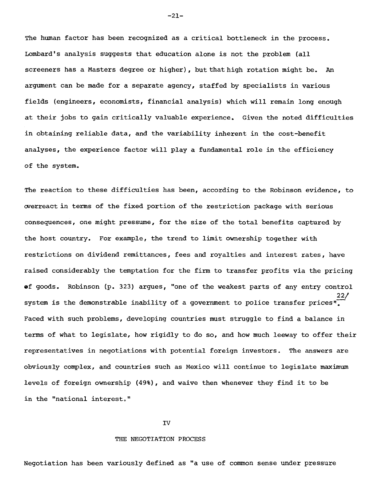The human factor has been recognized as a critical bottleneck in the process. Lombard's analysis suggests that education alone is not the problem (all screeners has a Masters degree or higher), but that high rotation might be. An argument can be made for a separate agency, staffed by specialists in various fields (engineers, economists, financial analysis) which will remain long enough at their jobs to gain critically valuable experience. Given the noted difficulties in obtaining reliable data, and the variability inherent in the cost-benefit analyses, the experience factor will play a fundamental role in the efficiency of the system.

The reaction to these difficulties has been, according to the Robinson evidence, to cverreactin terms of the fixed portion of the restriction package with serious consequences, one might pressume, for the size of the total benefits captured by the host country. For example, the trend to limit ownership together with restrictions on dividend remittances, fees and royalties and interest rates, have raised considerably the temptation for the firm to transfer profits via the pricing ef goods. Robinson (p. 323) argues, "one of the weakest parts of any entry control 22/ system is the demonstrable inability of a government to police transfer prices". Faced with such problems, developing countries must struggle to find a balance in terms of what to legislate, how rigidly to do so, and how much leeway to offer their representatives in negotiations with potential foreign investors. The answers are obviously complex, and countries such as Mexico will continue to legislate maximum levels of foreign ownership (49%), and waive then whenever they find it to be in the "national interest."

#### IV

#### **THE** NEGOTIATION PROCESS

Negotiation has been variously defined as "a use of common sense under pressure

-21-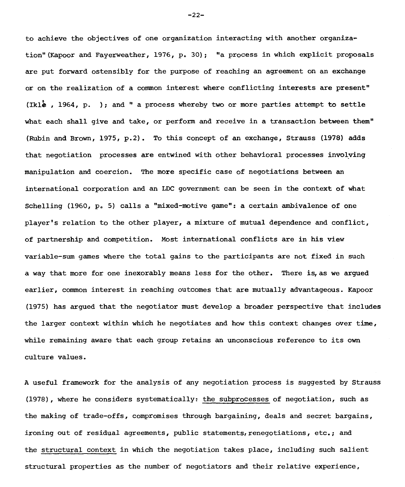to achieve the objectives of one organization interacting with another organization"(Kapoor and Fayerweather, 1976, p. 30); "a process in which explicit proposais are put forward ostensibly for the purpose of reaching an agreement on an exchange or on the realization of a common interest where conflicting interests are present" (Iklé , 1964, p. ); and " a process whereby two or more parties attempt to settle what each shall give and take, or perform and receive in a transaction between them" (Rubin and Brown, 1975, p.2). To this concept of an exchange, Strauss (1978) adds that negotiation processes are entwined with other behavioral processes involving manipulation and coercion. The more specific case of negotiations between an international corporation and an LDC government can be seen in the context of what Schelling (1960, p. 5) calls a "mixed-motive game": a certain ambivalence of one player's relation to the other player, a mixture of mutual dependence and conflict, of partnership and competition. Most international conflicts are in his view variable-sum games where the total gains to the participants are not fixed in such a way that more for one inexorably means less for the other. There is,as we argued earlier, common interest in reaching outcomes that are mutually advantageous. Kapoor (1975) has argued that the negotiator must develop a broader perspective that includes the langer context within which he negotiates and how this context changes over time, while remaining aware that each group retains an unconscious reference to its own culture values.

A useful framework for the analysis of any negotiation process is suggested by Strauss (1978), where he considers systematically: the subprocesses of negotiation, such as the making of trade-offs, compromises through bargaining, deals and secret bargains, ironing out of residual agreements, public statements, renegotiations, etc.; and the structural context in which the negotiation takes place, including such salient structural properties as the number of negotiators and their relative experience,

-22-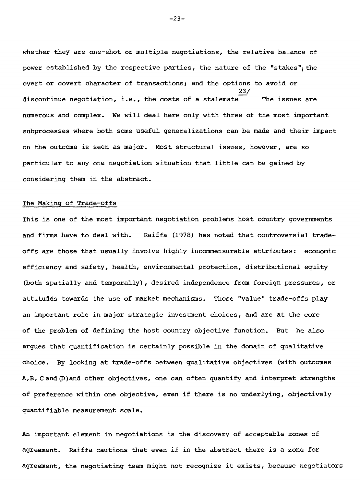whether they are one-shot or multiple negotiations, the relative balance of power established by the respective parties, the nature of the "stakes"; the overt or covert character of transactions; and the options to avoid or 23/ discontinue negotiation, i.e., the costs of a stalemate  $\overline{\hspace{1cm}}$  The issues are numerous and complex. We will deal here only with three of the most important subprocesses where both some useful generalizations can be made and their impact on the outcome is seen as major. Most structural issues, however, are so particular to any one negotiation situation that little can be gained by considering them in the abstract.

## The Making of Trade-offs

This is one of the most important negotiation problems host country governments and firms have to deal with. Raiffa (1978) has noted that controversial tradeoffs are those that usually involve highly incommensurable attributes: economic efficiency and safety, health, environmental protection, distributional equity (both spatially and temporally), desired independence from foreign pressures, or attitudes towards the use of market mechanisms. Those "value" trade-offs play an important role in major strategic investment choices, and are at the core of the problem of defining the host country objective function. But he also argues that quantification is certainly possible in the domain of qualitative choice. By looking at trade-offs between qualitative objectives (with outcomes A,B, Cand(D)and other objectives, one can often quantify and interpret strengths of preference within one objective, even if there is no underlying, objectively quantifiable measurement scale.

An important element in negotiations is the discovery of acceptable zones of agreement. Raiffa cautions that even if in the abstract there is a zone for agreement, the negotiating team might not recognize it exists, because negotiators

-23-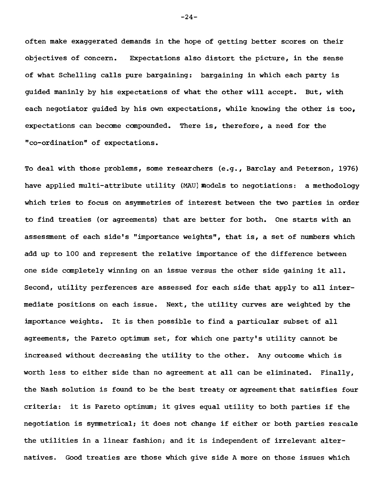often make exaggerated demands in the hope of getting better scores on their objectives of concern. Expectations also distort the picture, in the sense of what Schelling calls pure bargaining: bargaining in which each party is guided maninly by his expectations of what the other will accept. But, with each negotiator guided by his own expectations, while knowing the other is too, expectations can become compounded. There is, therefore, a need for the "co-ordination" of expectations.

To deal with those problems, some researchers (e.g., Barclay and Peterson, 1976) have applied multi-attribute utility (MAU) models to negotiations: a methodology which tries to focus on asymmetries of interest between the two parties in order to find treaties (or agreements) that are better for both. One starts with an assessment of each side's "importance weights", that is, a set of numbers which add up to 100 and represent the relative importance of the difference between one side completely winning on an issue versus the other side gaining it all. Second, utility perferences are assessed for each side that apply to all intermediate positions on each issue. Next, the utility curves are weighted by the importance weights. It is then possible to find a particular subset of ail agreements, the Pareto optimum set, for which one party's utility cannot be increased without decreasing the utility to the other. Any outcome which is worth less to either side than no agreement at ail can be eliminated. Finally, the Nash solution is found to be the best treaty or agreement that satisfies four criteria: it is Pareto optimum; it gives equal utility to both parties if the negotiation is symmetrical; it does not change if either or both parties rescale the utilities in a linear fashion; and it is independent of irrelevant alternatives. Good treaties are those which give side A more on those issues which

 $-24-$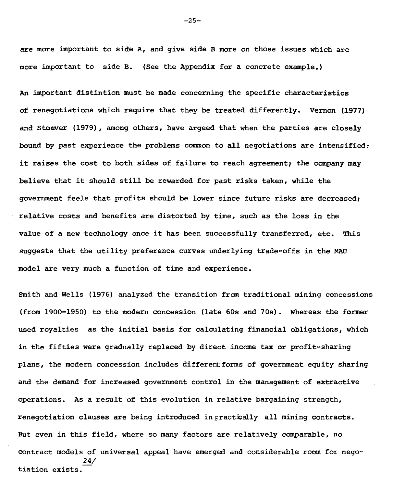**are more important to side A, and give side B more on those issues which are more important to side B. (See the Appendix for a concrete example.)** 

**An important distintion must be made concerning the specific characteristics of renegotiations which require that they be treated differently. Vernon (1977) and Stoever (1979), among others, have argeed that when the parties are closely bound by past experience the problems common to ail negotiations are intensified:**  it raises the cost to both sides of failure to reach agreement; the company may **believe that it should still be rewarded for past risks taken, while the government feels that profits should be lower since future risks are decreased; relative costs and benefits are distorted by time, such as the loss in the value of a new technology once it has been successfully transferred, etc. This suggests that the utility preference curves underlying trade-offs in the MAU model are very much a function of time and experience.** 

**Smith and Wells (1976) analyzed the transition from traditional mining concessions (from 1900-1950) to the modern concession (late 60s and 70s). Whereas the former used royalties as the initial basis for calculating financial obligations, which in the fifties were gradually replaced by direct income tax or profit-sharing plans, the modern concession includes differentforms of government equity sharing and the demand for increased government control in the management of extractive operations. As a result of this evolution in relative bargaining strength,**  renegotiation clauses are being introduced in practically all mining contracts. **But even in this field, where so many factors are relatively comparable, no contract models of universel appeal have emerged and considerable room for nego-24/ tiation exists.** 

 $-25-$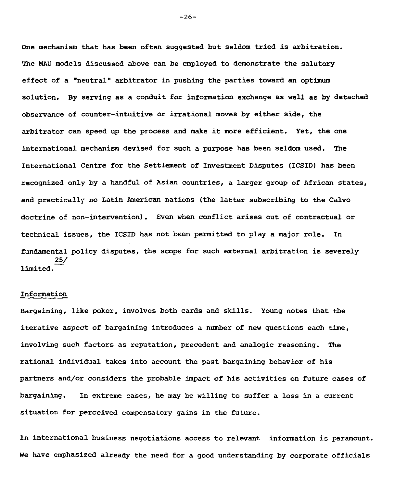**One mechanism that has been often suggested but seldom tried is arbitration. The MAU models discussed above can be employed to demonstrate the salutory effect of a "neutral" arbitrator in pushing the parties toward an optimum solution. By serving as a conduit for information exchange as well as by detached observance of counter-intuitive or irrational moves by either side, the arbitrator can speed up the process and make it more efficient. Yet, the one international mechanism devised for such a purpose has been seldom used. The International Centre for the Settlement of Investment Disputes (ICSID) has been recognized only by a handful of Asian countries, a larger group of African states, and practically no Latin American nations (the latter subscribing to the Calvo doctrine of non-intervention). Even when conflict arises out of contractual or technical issues, the ICSID has not been permitted to play a major role. In fundamental policy disputes, the scope for such external arbitration is severely 25/ limited.** 

#### **Information**

**Bargaining, like poker, involves both cards and skills. Young notes that the iterative aspect of bargaining introduces a number of new questions each time, involving such factors as reputation, precedent and analogic reasoning. The rational individual takes into account the past bargaining behavior of his partners and/or considers the probable impact of his activities on future cases of bargaining. In extreme cases, he may be willing to suffer a loss in a current situation for perceived compensatory gains in the future.** 

**In international business negotiations access to relevant information is paramount.**  We have emphasized already the need for a good understanding by corporate officials

 $-26-$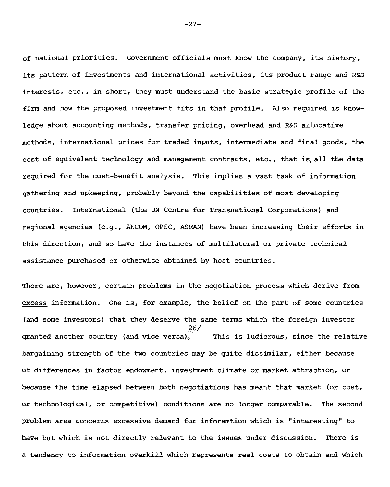of national priorities. Government officiais must know the company, its history, its pattern of investments and international activities, its product range and R&D interests, etc., in short, they must understand the basic strategic profile of the firm and how the proposed investment fits in that profile. Also required is knowledge about accounting methods, transfer pricing, overhead and R&D allocative methods, international prices for traded inputs, intermediate and final goods, the cost of equivalent technology and management contracts, etc., that is,all the data required for the cost-benefit analysis. This implies a vast task of information gathering and upkeeping, probably beyond the capabilities of most developing countries. International (the UN Centre for Transnational Corporations) and regional agencies (e.g., AULUM, OPEC, ASEAN) have been increasing their efforts in this direction, and so have the instances of multilateral or private technical assistance purchased or otherwise obtained by host countries.

There are, however, certain problems in the negotiation process which derive from excess information. One is, for example, the belief on the part of some countries (and some investors) that they deserve the same terms which the foreign investor 26/ granted another country (and vice versa), This is ludicrous, since the relative bargaining strength of the two countries may be quite dissimilar, either because of differences in factor endowment, investment climate or market attraction, or because the time elapsed between both negotiations has meant that market (or cost, or technological, or competitive) conditions are no longer comparable. The second problem area concerns excessive demand for inforamtion which is "interesting" to have but which is not directly relevant to the issues under discussion. There is a tendency to information overkill which represents real costs to obtain and which

 $-27-$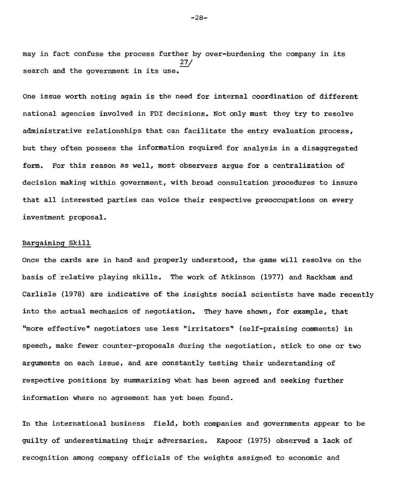may in fact confuse the process further by over-burdening the company in its 27/ search and the government in its use

One issue worth noting again is the need for internai coordination of different national agencies involved in FDI decisions. Not only must they try to resolve administrative relationships that can facilitate the entry evaluation process, but they often possess the information required for analysjs in a disaggregated form. For this reason as well, most observers argue for a centralization of decision making within government, with broad consultation procedures to insure that all interested parties can voice their respective preoccupations on every investment proposai.

### Bargaining Skill

Once the cards are in hand and properly understood, the game will resolve on the basis of relative playing skills. The work of Atkinson (1977) and Rackham and Carlisle (1978) are indicative of the insights social scientists have made recently into the actual mechanics of negotiation. They have shown, for example, that "more effective" negotiators use less "irritators" (self-praising comments) in speech, make fewer counter-proposals during the negotiation, stick to one or two arguments on each issue, and are constantly testing their understanding of respective positions by summarizing what has been agreed and seeking further information where no agreement has yet been found.

In the international business field, both companies and governments appear to be guilty of underestimating their adversaries. Kapoor (1975) observed a lack of recognition among company officials of the weights assigned to economic and

-28-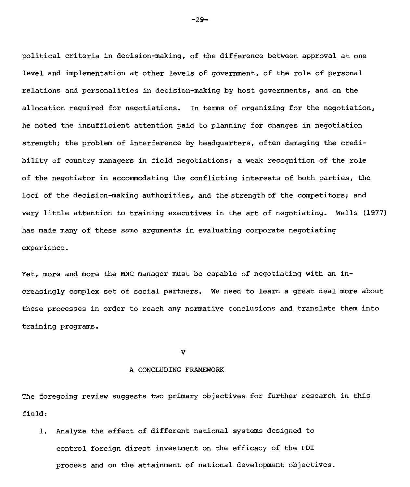political criteria in decision-making, of the difference between approval at one level and implementation at other levels of government, of the role of personal relations and personalities in decision-making by host governments, and on the allocation required for negotiations. In terms of organizing for the negotiation, he noted the insufficient attention paid to planning for changes in negotiation strength; the problem of interference by headquarters, often damaging the credibility of country managers in field negotiations; a weak recognition of the role of the negotiator in accommodating the conflicting interests of both parties, the loci of the decision-making authorities, and the strength of the competitors; and very little attention to training executives in the art of negotiating. Wells (1977) has made many of these same arguments in evaluating corporate negotiating experience.

Yet, more and more the MNC manager must be capable of negotiating with an increasingly complex set of social partners. We need to learn a great deal more about these processes in order to reach any normative conclusions and translate them into training programs.

V

#### A CONCLUDING FRAMEWORK

The foregoing review suggests two primary objectives for further research in this field:

1. Analyze the effect of different national systems designed to control foreign direct investment on the efficacy of the FDI process and on the attainment of national development objectives.

 $-29-$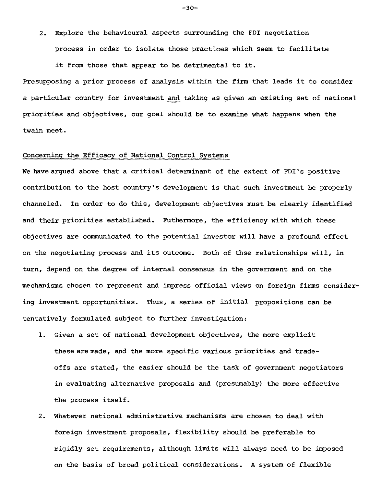2. Explore the behavioural aspects surrounding the FDI negotiation process in order to isolate those practices which seem to facilitate

it from those that appear to be detrimental to it.

Presupposing a prior process of analysis within the firm that leads it to consider a particular country for investment and taking as given an existing set of national priorities and objectives, our goal should be to examine what happens when the twain meet.

### Concerning the Efficacy of National Control Systems

We have argued above that a critical determinant of the extent of FDI's positive contribution to the host country's development is that such investment be properly channeled. In order to do this, development objectives must be clearly identified and their priorities established. Futhermore, the efficiency with which these objectives are communicated to the potential investor will have a profound effect on the negotiating process and its outcome. Both of thse relationships will, in turn, depend on the degree of internal consensus in the government and on the mechanisms chosen to represent and impress official views on foreign firms considering investment opportunities. Thus, a series of initial propositions can be tentatively formulated subject to further investigation:

- 1. Given a set of national development objectives, the more explicit thesearemade, and the more specific various priorities and tradeoffs are stated, the easier should be the task of government negotiators in evaluating alternative proposais and (presumably) the more effective the process itself.
- 2. Whatever national administrative mechanisms are chosen to deal with foreign investment proposais, flexibility should be preferable to rigidly set requirements, although limits will always need to be imposed on the basis of broad political considerations. A system of flexible

-30-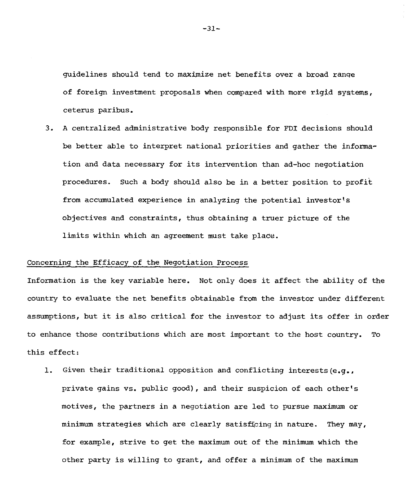guidelines should tend to maximize net benefits over a broad range of foreign investment proposals when compared with more rigid systems, ceterus paribus.

3. A centralized administrative body responsible for FDI decisions should be better able to interpret national priorities and gather the information and data necessary for its intervention than ad-hoc negotiation procedures. Such a body should also be in a better position to profit from accumulated experience in analyzing the potential investor's objectives and constraints, thus obtaining a truer picture of the limits within which an agreement must take place.

### Concerning the Efficacy of the Negotiation Process

Information is the key variable here. Not only does it affect the ability of the country to evaluate the net benefits obtainable from the investor under different assumptions, but it is also critical for the investor to adjust its of fer in order to enhance those contributions which are most important to the host country. To this effect:

1. Given their traditional opposition and conflicting interests(e.g., private gains vs. public good), and their suspicion of each other's motives, the partners in a negotiation are led to pursue maximum or minimum strategies which are clearly satisficing in nature. They may, for example, strive to get the maximum out of the minimum which the other party is willing to grant, and offer a minimum of the maximum

-31-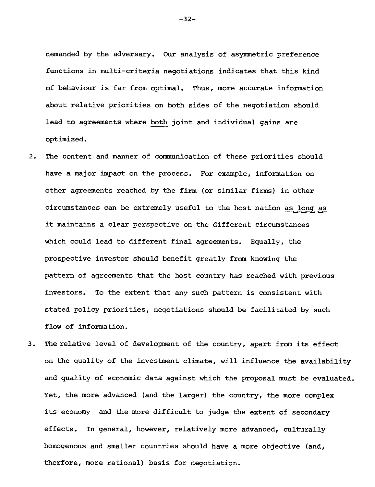demanded by the adversary. Our analysis of asymmetric preference functions in multi-criteria negotiations indicates that this kind of behaviour is far from optimal. Thus, more accurate information about relative priorities on both sides of the negotiation should lead to agreements where both joint and individual gains are optimized.

- 2. The content and marner of communication of these priorities should have a major impact on the process. For example, information on other agreements reached by the firm (or similar firms) in other circumstances can be extremely useful to the host nation as long as it maintains a clear perspective on the different circumstances which could lead to different final agreements. Equally, the prospective investor should benefit greatly from knowing the pattern of agreements that the host country has reached with previous investors. To the extent that any such pattern is consistent with stated policy priorities, negotiations should be facilitated by such flow of information.
- 3. The relative level of development of the country, apart from its effect on the quality of the investment climate, will influence the availability and quality of economic data against which the proposal must be evaluated. Yet, the more advanced (and the larger) the country, the more complex its economy and the more difficult to judge the extent of secondary effects. In general, however, relatively more advanced, culturally homogenous and smaller countries should have a more objective (and, therfore, more rational) basis for negotiation.

-32-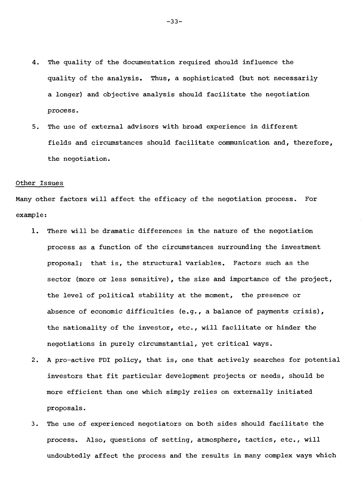- 4. The quality of the documentation required should influence the quality of the analysis. Thus, a sophisticated (but not necessarily a longer) and objective analysis should facilitate the negotiation process.
- 5. The use of external advisors with broad experience in different fields and circumstances should facilitate communication and, therefore, the negotiation.

#### Other Issues

Many other factors will affect the efficacy of the negotiation process. For example:

- 1. There will be dramatic differences in the nature of the negotiation process as a function of the circumstances surrounding the investment proposal; that is, the structural variables. Factors such as the sector (more or less sensitive), the size and importance of the project, the level of political stability at the moment, the presence or absence of economic difficulties (e.g., a balance of payments crisis), the nationality of the investor, etc., will facilitate or hinder the negotiations in purely circumstantial, yet critical ways.
- 2. A pro-active FDI policy, that is, one that actively searches for potential investors that fit particular development projects or needs, should be more efficient than one which simply relies on externally initiated proposais.
- 3. The use of experienced negotiators on both Bides should facilitate the process. Also, questions of setting, atmosphere, tactics, etc., will undoubtedly affect the process and the results in many complex ways which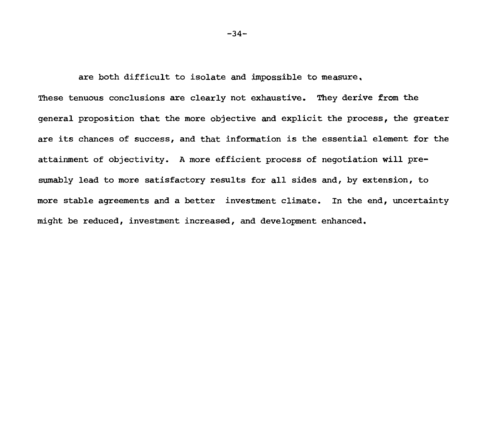are both difficult to isolate and impossible to measure,

These tenuous conclusions are clearly not exhaustive. They derive from the general proposition that the more objective and explicit the process, the greater are its chances of success, and that information is the essential element for the attainment of objectivity. A more efficient process of negotiation will presumably lead to more satisfactory results for ail sides and, by extension, to more stable agreements and a better investment climate. In the end, uncertainty might be reduced, investment increased, and development enhanced.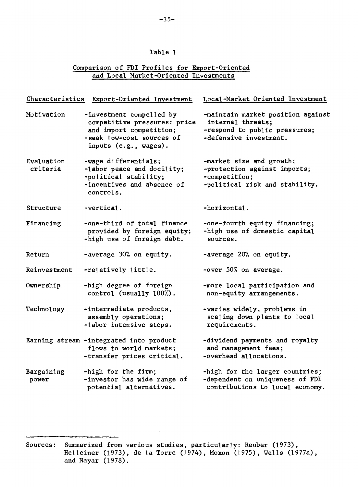# Table 1.

# Comparison of FDI Profiles for Export-Oriented and Local Market-Oriented Investments

| Characteristics        | Export-Oriented Investment                                                                                                                | Local-Market Oriented Investment                                                                                  |
|------------------------|-------------------------------------------------------------------------------------------------------------------------------------------|-------------------------------------------------------------------------------------------------------------------|
| Motivation             | -investment compelled by<br>competitive pressures: price<br>and import competition;<br>-seek low-cost sources of<br>inputs (e.g., wages). | -maintain market position against<br>internal threats;<br>-respond to public pressures;<br>-defensive investment. |
| Evaluation<br>criteria | -wage differentials;<br>-labor peace and docility;<br>-political stability;<br>-incentives and absence of<br>controls.                    | -market size and growth;<br>-protection against imports;<br>-competition;<br>-political risk and stability.       |
| Structure              | -vertical.                                                                                                                                | -horizontal.                                                                                                      |
| Financing              | -one-third of total finance<br>provided by foreign equity;<br>-high use of foreign debt.                                                  | -one-fourth equity financing;<br>-high use of domestic capital<br>sources.                                        |
| Return                 | -average 30% on equity.                                                                                                                   | -average 20% on equity.                                                                                           |
| Reinvestment           | -relatively little.                                                                                                                       | -over 50% on average.                                                                                             |
| Ownership              | -high degree of foreign<br>control (usually 100%).                                                                                        | -more local participation and<br>non-equity arrangements.                                                         |
| Technology             | -intermediate products,<br>assembly operations;<br>-labor intensive steps.                                                                | -varies widely, problems in<br>scaling down plants to local<br>requirements.                                      |
|                        | Earning stream -integrated into product<br>flows to world markets;<br>-transfer prices critical.                                          | -dividend payments and royalty<br>and management fees;<br>-overhead allocations.                                  |
| Bargaining<br>power    | -high for the firm;<br>-investor has wide range of<br>potential alternatives.                                                             | -high for the larger countries;<br>-dependent on uniqueness of FDI<br>contributions to local economy.             |

Sources: Summarized from various studies, particularly: Reuber (1973), Helleiner (1973), de la Torre (1974), Moxon (1975), Wells (1977a), and Nayar (1978).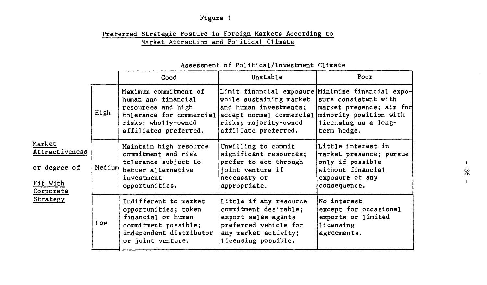# Figure 1

# Preferred Strategic Posture in Foreign Markets According to Market Attraction and Political Climate

|                                                                               |            | Good                                                                                                                                        | Unstable                                                                                                                                                                                                                            | Poor                                                                                                                      |  |
|-------------------------------------------------------------------------------|------------|---------------------------------------------------------------------------------------------------------------------------------------------|-------------------------------------------------------------------------------------------------------------------------------------------------------------------------------------------------------------------------------------|---------------------------------------------------------------------------------------------------------------------------|--|
| Market<br>Attractiveness<br>or degree of<br>Fit With<br>Corporate<br>Strategy | High       | Maximum commitment of<br>human and financial<br>resources and high<br>risks: wholly-owned<br>affiliates preferred.                          | Limit financial exposure Minimize financial expo-<br>while sustaining market<br>and human investments;<br>tolerance for commercial accept normal commercial minority position with<br>risks; majority-owned<br>affiliate preferred. | sure consistent with<br>market presence; aim for<br>licensing as a long-<br>term hedge.                                   |  |
|                                                                               | Medium     | Maintain high resource<br>commitment and risk<br>tolerance subject to<br>better alternative<br>investment<br>opportunities.                 | Unwilling to commit<br>significant resources;<br>prefer to act through<br>joint venture if<br>necessary or<br>appropriate.                                                                                                          | Little interest in<br>market presence; pursue<br>only if possible<br>without financial<br>exposure of any<br>consequence. |  |
|                                                                               | <b>Low</b> | Indifferent to market<br>opportunities; token<br>financial or human<br>commitment possible;<br>independent distributor<br>or joint venture. | Little if any resource<br>commitment desirable;<br>export sales agents<br>preferred vehicle for<br>any market activity;<br>licensing possible.                                                                                      | No interest<br>except for occasional<br>exports or limited<br>licensing<br>agreements.                                    |  |

# Assessment of Political/Investment Climate

 $\blacksquare$ 96

 $\mathbf{I}$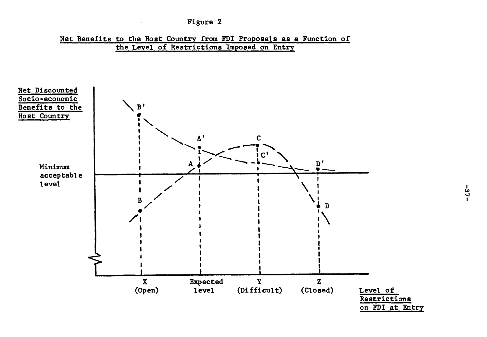



**the Level of Restrictions Imposed on Entry**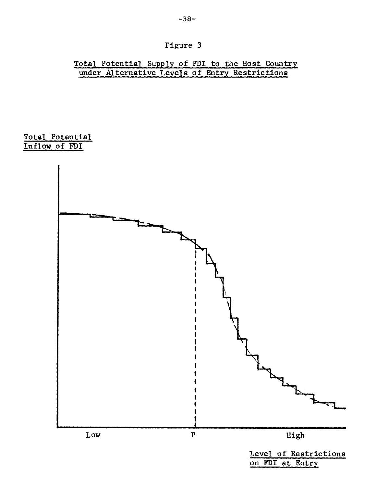-38-

# Total Potential Supply of FDI to the Host Country under Alternative Levels of Entry Restrictions

Total Potential Inflow of FDI

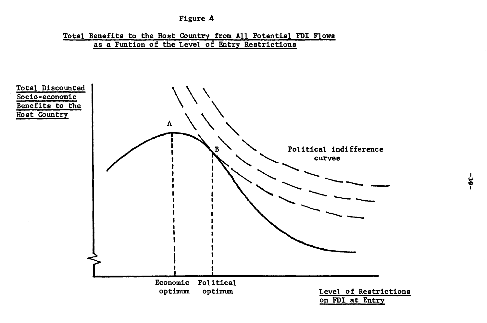

**Total Benefits to the Host Country from Ail Potential FDI Flows as a Funtion of the Level of Entry Restrictions** 



ا<br>ئا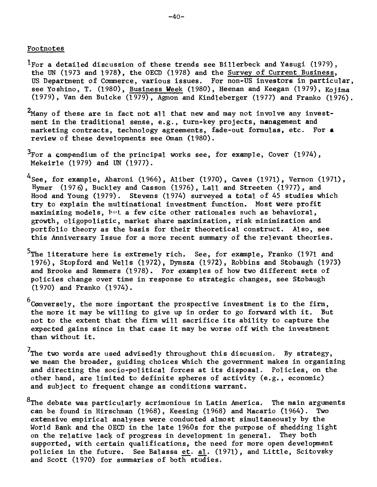### Footnotes

- ${}^{1}$ For a detailed discussion of these trends see Billerbeck and Yasugi (1979), the UN (1973 and 1978), the OECD (1978) and the Survey of Current Business, US Department of Commerce, various issues. For non-US investors in particular, see Yoshino, T. (1980), Business Week (1980), Heenan and Keegan (1979), Kojima (1979), Van den Buicke (1979), Agmon and Kindleberger (1977) and Franko (1976).
- $2$ Many of these are in fact not all that new and may not involve any investment in the traditional sense, e.g., turn-key projects, management and marketing contracts, technology agreements, fade-out formulas, etc. For **a**  review of these developments see Oman (1980).
- $^3$ For a compendium of the principal works see, for example, Cover (1974), Mekeirle (1979) and UN (1977).
- $^{4}$ See, for example, Aharoni (1966), Aliber (1970), Caves (1971), Vernon (1971), Hymer (1976), Buckley and Casson (1976), Lall and Streeten (1977), and Hood and Young (1979). Stevens (1974) surveyed a total of 45 studies which try to explain the multinational investment function. Most were profit maximizing modéls, but a few cite other rationales such as behavioral, growth, oligopolistic, market share maximization, risk minimization and portfolio theory as the basis for their theoretical construct. Also, see this Anniversary Issue for a more recent summary of the relevant theories.
- <sup>5</sup>The literature here is extremely rich. See, for example, Franko (1971 and 1976), Stopford and Wells (1972), Dymsza (1972), Robbins and Stobaugh (1973) and Brooke and Remmers (1978). For examples of how two different sets of policies change over time in response to strategic changes, see Stobaugh (1970) and Franko (1974).
- 6 Conversely, the more important the prospective investment is to the firm, the more it may be willing to give up in order to go forward with it. But not to the extent that the firm will sacrifice its ability to capture the expected gains since in that case it may be worse off with the investment than without it.
- $7$ The two words are used advisedly throughout this discussion. By strategy, we mean the broader, guiding choices which the government makes in organizing and directing the socio-political forces at its disposai. Policies, on the other hand, are limited to definite spheres of activity (e.g., economic) and subject to frequent change as conditions warrant.
- <sup>8</sup>The debate was particularly acrimonious in Latin America. The main arguments can be found in Hirschman (1968). Keesing (1968) and Macario (1964). Two can be found in Hirschman (1968), Keesing (1968) and Macario (1964). extensive empirical analyses were conducted almost simultaneously by the World Bank and the OECD in the late 1960s for the purpose of shedding light<br>on the relative lack of progress in development in general. They both on the relative lack of progress in development in general. supported, with certain qualifications, the need for more open development policies in the future. See Balassa et. al. (1971), and Little, Scitovsky and Scott (1970) for summaries of both studies.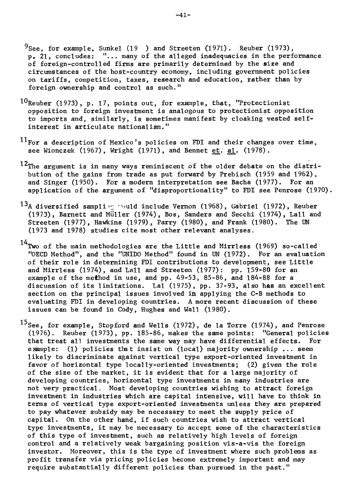- $9$ See, for example, Sunkel (19 ) and Streeten (1971). Reuber (1973), p. 21, concludes: "... many of the alleged inadequacies in the performance of foreign-controlled firms are primarily determined by the size and circumstances of the host-country economy, including government policies on tariffs, competition, taxes, research and education, rather than by foreign ownership and control as such."
- $10$ Reuber (1973), p. 17, points out, for example, that, "Protectionist opposition to foreign investment is analogous to protectionist opposition to imports and, similarly, is sometimes manifest by cloaking vested selfinterest in articulate nationalism."
- $11$ For a description of Mexico's policies on FDI and their changes over time, see Wionczek (1967), Wright (1971), and Bennet et. al. (1978).
- 12The argument is in many ways reminiscent of the older debate on the distribution of the gains from trade as put forward by Prebisch (1959 and 1962), and Singer (1950). For a modern interpretation **see** Bacha (1977). For an application of the argument of "disproportionality" to FDI see Penrose (1970).
- <sup>13</sup>A diversified sampling would include Vernon (1968), Gabriel (1972), Reuber (1973), Barnett and Müller (1974), Bos, Sanders and Secchi (1974), Lall and Streeten (1977), Hawkins (1979), Parry (1980), and Frank (1980). The UN (1973 and 1978) studies cite most other relevant analyses.

 $14$ Two of the main methodologies are the Little and Mirrless (1969) so-called "OECD Method", and the "UNIDO Method" found in UN (1972). For an evaluation of their role in determining FDI contributions to development, see Little and Mirrless (1974), and Lall and Streeten (1977): pp. 159-80 for an example of the method in use, and pp. 49-53, 85-86, and 184-88 for a discussion of its limitations. Lal (1975), pp. 37-93, also has an excellent section on the principal issues involved in applying the C-B methods to evaluating FDI in developing countries. A more recent discussion of these issues can be found in Cody, Hughes and Wall (1980).

 $15$ See, for example, Stopford and Wells (1972), de la Torre (1974), and Penrose (1976). Reuber (1973), pp. 185-86, makes the same points: "General policies that treat all investments the same way may have differential effects. For example: (1) policies that insist on (local) majority ownership  $\ldots$  seem likely to discriminate against vertical type export-oriented investment in favor of horizontal type locally-oriented investments; (2) given the role of the size of the market, it is evident that for a large majority of developing countries, horizontal type investments in many industries are not very practical. Most developing countries wishing to attract foreign investment in industries which are capital intensive, will have to think in terms of vertical type export-oriented investments unless they are prepared to pay whatever subsidy may be necessary to meet the supply price of capital. On the other hand, if such countries wish to attract vertical type investments, it may be necessary to accept some of the characteristics of this type of investment, such as relatively high levels of foreign control and a relatively weak bargaining position vis-a-vis the foreign investor. Moreover, this is the type of investment where such problems as profit transfer via pricing policies become extremely important and may require substantially different policies than pursued in the past."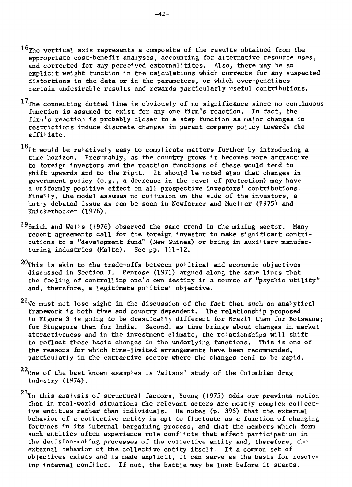- $16$ The vertical axis represents a composite of the results obtained from the appropriate cost-benefit analyses, accounting for alternative resource uses, and corrected for any perceived externalitites. Also, there may be an explicit weight function in the calculations which corrects for any suspected distortions in the data or in the parameters, or which over-penalizes certain undesirable results and rewards particularly useful contributions.
- $17$ The connecting dotted line is obviously of no significance since no continuous function is assumed to exist for any one firm's reaction. In fact, the firm's reaction is probably Gloser to a step function as major changes in restrictions induce discrete changes in parent company policy towards the affiliate.
- $18$ It would be relatively easy to complicate matters further by introducing a time horizon. Presumably, as the country grows it becomes more attractive to foreign investors and the reaction functions of these would tend to shift upwards and to the right. It should be noted also that changes in government policy (e.g., a decrease in the level of protection) may have a uniformly positive effect on ail prospective investors' contributions. Finally, the model assumes no collusion on the side of the investors, a hotly debated issue as can be seen in Newfarmer and Mueller (1975) and Knickerbocker (1976).
- $19$ Smith and Wells (1976) observed the same trend in the mining sector. Many recent agreements call for the foreign investor to make significant contributions to a "development fund" (New Guinea) or bring in auxiliary manufacturing industries (Malta). See pp. 111-12.
- $20$ This is akin to the trade-offs between political and economic objectives discussed in Section I. Penrose (1971) argued along the same lines that the feeling of controlling one's own destiny is a source of "psychic utility" and, therefore, a legitimate political objective.
- $21$ We must not lose sight in the discussion of the fact that such an analytical framework is both time and country dependent. The relationship proposed in Figure 3 is going to be drastically different for Brazil than for Botswana; for Singapore than for India. Second, as time brings about changes in market attractiveness and in the investment climate, the relationships will shift<br>to reflect these basic changes in the underlying functions. This is one of to reflect these basic changes in the underlying functions. the reasons for which time-limited arrangements have been recommended, particularly in the extractive sector where the changes tend to be rapid.
- $22_{\text{One of the best known examples is Vaitsos' study of the Colombian drug}}$ industry (1974).
- $23$ To this analysis of structural factors, Young (1975) adds our previous notion that in real-world situations the relevant actors are mostly complex collective entities rather than individuals. He notes (p. 396) that the external behavior of a collective entity is apt to fluctuate as a function of changing fortunes in its internat bargaining process, and that the members which form such entities often experience role conflicts that affect participation in the decision-making processes of the collective entity and, therefore, the external behavior of the collective entity itself. If a common set of objectives exists and is made explicit, it can serve as the basis for resolving internal conflict. If not, the battle may be lost before it starts.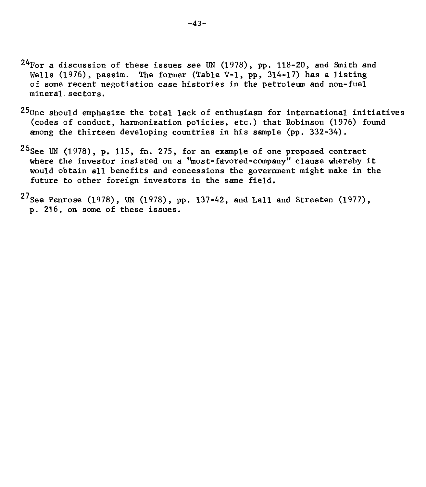- $24$ For a discussion of these issues see UN (1978), pp. 118-20, and Smith and Wells (1976), passim. The former (Table V-1, pp, 314-17) has a listing of some recent negotiation case histories in the petroleum and non-fuel mineral sectors.
- $25$ One should emphasize the total lack of enthusiasm for international initiatives (codes of conduct, harmonization policies, etc.) that Robinson (1976) found among the thirteen developing countries in his semple (pp. 332-34).
- $26$ See UN (1978), p. 115, fn. 275, for an example of one proposed contract where the investor insisted on a 'most-favored-company" clause whereby it would obtain all benefits and concessions the government might make in the future to other foreign investors in the same field.
- <sup>27</sup>See Penrose (1978), UN (1978), pp. 137-42, and Lall and Streeten (1977), p. 216, on some of these issues.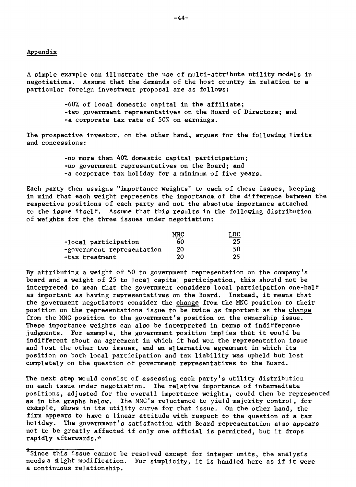#### Appendix

A simple example can illustrate the use of multi-attribute utility models in negotiations. Assume that the demands of the host country in relation to a particular foreign investment proposal are as follows:

> -60% of local domestic capital in the affiliate; -two government representatives on the Board of Directors; and -a corporate tax rate of 50% on earnings.

The prospective investor, on the other hand, argues for the following limits and concessions:

> -no more than 40% domestic capital participation; -no government representatives on the Board; and -a corporate tax holiday for a minimum of five years.

Each party then assigns "importance weights" to each of these issues, keeping in mind that each weight represents the importance of the difference between the respective positions of each party and not the absolute importance attached to the issue itself. Assume that this results in the following distribution of weights for the three issues under negotiation:

|                            | MN C | LDC             |
|----------------------------|------|-----------------|
| -local participation       | 60   | 25              |
| -government representation | 20   | 50 <sup>.</sup> |
| -tax treatment             | 20   | 25              |

By attributing a weight of 50 to government representation on the company's board and a weight of 25 to local capital participation, this should not be interpreted to mean that the government considers local participation one-half as important as having representatives on the Board. Instead, it means that the government negotiators consider the change from the MNC position to their position on the representations issue to be twice as important as the change from the MNC position to the government's position on the ownership issue. These importance weights can also be interpreted in terms of indifference judgments. For example, the government position implies that it would be indifferent about an agreement in which it had won the representation issue and lost the other two issues, and an alternative agreement in which its position on both local participation and tax liability was upheld but lost completely on the question of government representatives to the Board.

The next step would consist of assessing each party's utility distribution on each issue under negotiation. The relative importance of intermediate positions, adjusted for the overall importance weights, could then be represented as in the graphs below. The MNC's reluctance to yield majority control, for example, shows in its utility curve for that issue. On the other hand, the firm appears to have a linear attitude with respect to the question of a tax holiday. The government's satisfaction with Board representation also appears not to be greatly affected if only one official is permitted, but it drops rapidly afterwards.\*

<sup>\*</sup>Since this issue cannot be resolved except for integer units, the analysis needs a slight modification. For simplicity, it is handled here as if it were a continuous relationship.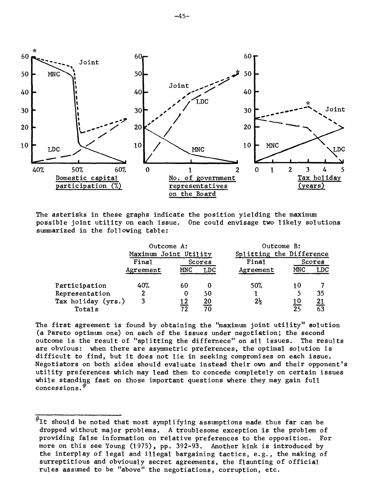

The asterisks in these graphs indicate the position yielding the maximum possible joint utility on each issue. One could envisage two likely solutions summarized in the following table:

|                    | Outcome A:            |     |       | Outcome B:               |            |            |
|--------------------|-----------------------|-----|-------|--------------------------|------------|------------|
|                    | Maximum Joint Utility |     |       | Splitting the Difference |            |            |
|                    | Final<br>Scores       |     | Final | Scores                   |            |            |
|                    | Agreement             | MNC | LDC   | Agreement                | MNC        | LDC        |
|                    |                       |     |       |                          |            |            |
| Participation      | 40%                   | 60  | Ð     | 50%                      | 10         |            |
| Representation     | 2                     | 0   | 50    |                          | 5          | 35         |
| Tax holiday (yrs.) | 3                     | 12  | 20    | $2\frac{1}{2}$           | <u> 10</u> | <u> 21</u> |
| Totals             |                       | 72  | 70    |                          | クら         | 63         |

The first agreement is found by obtaining the "maximum joint utility" solution (a Pareto optimum one) on each of the issues under negotiation; the second outcome is the result of "spiitting the differnece" on all issues. The results are obvious: when there are asymmetric preferences, the optimal solution is difficult to find, but it does not lie in seeking compromises on each issue. Negotiators on both sides should evaluate instead their own and their opponent's utility preferences which may lead them to concede completely on certain issues while standin g fast on those important questions where they may gain full concessions.<sup>#</sup>

 $*$ It should be noted that most symplifying assumptions made thus far can be dropped without major problems. A troublesome exception is the problem of providing false information on relative preferences to the opposition. For more on this see Young (1975), pp. 392-93. Another kink is introduced by the interplay of legal and illegal bargaining tactics, e.g., the making of surreptitious and obviously secret agreements, the flaunting of official rules assumed to be "above" the negotiations, corruption, etc.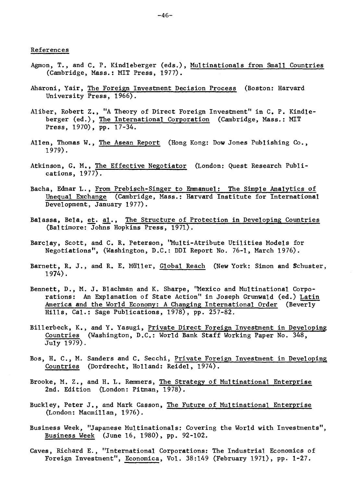- Agmon, T., and C. P. Kindleberger (eds.), Multinationals from Small Countries (Cambridge, Mass.: MIT Press, 1977).
- Aharoni, Yair, The Foreign Investment Decision Process (Boston: Harvard University Press, 1966).
- Aliber, Robert Z., "A Theory of Direct Foreign Investment" in C. P. Kindleberger (ed.), The International Corporation (Cambridge, Mass.: MIT Press, 1970), pp. 17-34.
- Allen, Thomas W., The Asean Report (Hong Kong: Dow Jones Publishing Co., 1979).
- Atkinson, G. M., The Effective Negotiator (London: Quest Research Publications, 1977).
- Bacha, Edmar L., From Prebisch-Singer to Emmanuel: The Simple Analytics of Unequal Exchange (Cambridge, Mass.: Harvard Institute for International Development, January 1977).
- Balassa, Bela, et. al., The Structure of Protection in Developing Countries (Baltimore: Johns Hopkins Press, 1971).
- Barclay, Scott, and C. R. Peterson, "Multi-Atribute Utilities Models for Negotiations", (Washington, D.C.: DDI Report No. 76-1, March 1976).
- Barnett, R. J., and R. E. Muller, Global Reach (New York: Simon and Schuster, 1974).
- Bennett, D., M. J. Blachman and K. Sharpe, "Mexico and Multinational Corporations: An Explanation of State Action" in Joseph Grunwald (ed.) Latin America and the World Economy: A Changing International Order (Beverly Hills, Cal.: Sage Publications, 1978), pp. 257-82.
- Billerbeck, K., and Y. Yasugi, Private Direct Foreign Investment in Developing Countries (Washington, D.C.: World Bank Staff Working Paper No. 348, July 1979).
- Bos, H. C., M. Sanders and C. Secchi, Private Foreign Investment in Developing Countries (Dordrecht, Holland: Reidel, 1974).
- Brooke, M. Z., and H. L. Remmers, The Strategy of Multinational Enterprise 2nd. Edition (London: Pitman, 1978).
- Buckley, Peter J., and Mark Casson, The Future of Multinational Enterprise (London: Macmillan, 1976).
- Business Week, "Japanese Multinationals: Covering the World with Investments", Business Week (June 16, 1980), pp. 92-102.
- Caves, Richard E., "International Corporations: The Industrial. Economics of Foreign Investment", Economica, Vol. 38:149 (February 1971), pp. 1-27.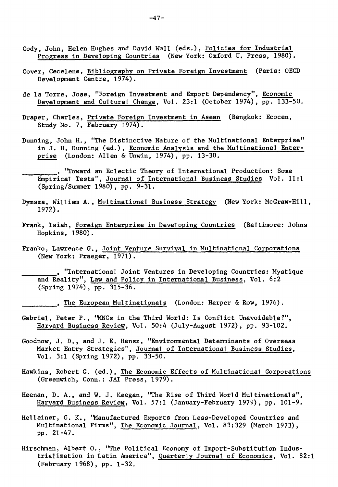- Cody, John, Helen Hughes and David Wall **(eds.),** Policies for Industrial Progress in Developing Countries (New York: Oxford U. Press, 1980).
- Cover, Cecelene, Bibliography on Private Foreign Investment (Paris: OECD Development Centre, 1974).
- de la Torre, Jose, "Foreign Investment and Export Dependency", Economic Development and Cultural Change, Vol. 23:1 (October 1974), pp. 133-50.
- Draper, Charles, Private Foreign Investment in Asean (Bangkok: Ecocen, Study No. 7, February 1974).
- Dunning, John H., "The Distinctive Nature of the Multinational Enterprise" in J. H. Dunning (ed.), Economic Analysis and the Multinational Enterprise (London: Allen & Unwin, 1974), pp. 13-30.
	- , "Toward an Eclectic Theory of International Production: Some Empirical Tests", Journal of International Business Studies Vol. 11:1 (Spring/Summer 1980), pp. 9-31.
- Dymsza, William A., Multinational Business Strategy (New York: McGraw-Hill, 1972).
- Frank, Isiah, Foreign Enterprise in Developing Countries (Baltimore: Johns Hopkins, 1980).
- Franko, Lawrence G., Joint Venture Survival in Multinational Corporations (New York: Praeger, 1971).
	- "International Joint Ventures in Developing Countries: Mystique and Reality", Law and Policy in International Business, Vol. 6:2 (Spring 1974), pp. 315-36.
		- , The European Multinationals (London: Harper & Row, 1976).
- Gabriel, Peter P., "MNCs in the Third World: Is Conflict Unavoidable?", Harvard Business Review, Vol. 50:4 (July-August 1972), pp. 93-102.
- Goodnow, J. D., and J. E. Hansz, "Environmental Determinants of Overseas Market Entry Strategies", Journal of International Business Studies, Vol. 3:1 (Spring 1972), pp. 33-50.
- Hawkins, Robert G. (ed.), The Economic Effects of Multinational Corporations (Greenwich, Conn.: JAI Press, 1979).
- Heenan, D. A., and W. J. Keegan, "The Rise of Third World Multinationals", Harvard Business Review, Vol. 57:1 (January-February 1979), pp. 101-9.
- Helleiner, G. K., 'Manufactured Exports from Less-Developed Countries and Multinational Firms", The Economic Journal, Vol. 83:329 (March 1973), pp• 21-47.
- Hirschman, Albert O., "The Political Economy of Import-Substitution Industrialization in Latin America", Quarterly Journal of Economics, Vol. 82:1 (February 1968), pp. l-32.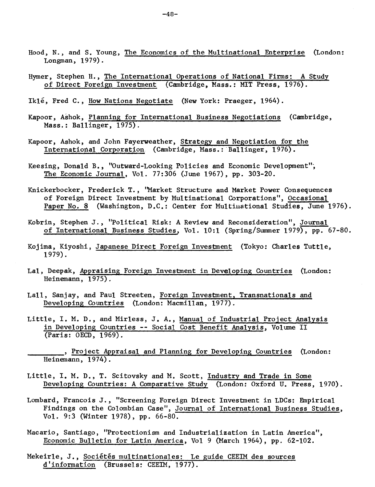- Hood, N., and S. Young, The Economics of the Multinational Enterprise (London: Longman, 1979).
- Hymer, Stephen H., The International Operations of National Firms: A Study of Direct Foreign Investment (Cambridge, Mass.: MIT Press, 1976).
- Iklé, Fred C., How Nations Negotiate (New York: Praeger, 1964).
- Kapoor, Ashok, Planning for International Business Negotiations (Cambridge, Mass.: Ballinger, 1975).
- Kapoor, Ashok, and John Fayerweather, Strategy and Negotiation for the International Corporation. (Cambridge, Mass.: Ballinger, 1976).
- Keesing, Donald B., "Outward-Looking Policies and Economic Development"; The Economic Journal, Vol. 77:306 (June 1967), pp. 303-20.
- Knickerbocker, Frederick T., 'Market Structure and Market Power Consequences of Foreign Direct Investment by Multinational Corporations", Occasional Paper No. 8 (Washington, D.C.: Center for Multinational Studies, June 1976).
- Kobrin, Stephen J., "Political Risk: A Review and Reconsideration", Journal of International Business Studies, Vol. 10:1 (Spring/Summer 1979), pp. 67-80.
- Kojima, Kiyoshi, Japanese Direct Foreign Investment (Tokyo: Charles Tuttle, 1979).
- Lal, Deepak, Appraising Foreign Investment in Developing Countries (London: Heinemann, 1975).
- Lall, Sanjay, and Paul Streeten, Foreign Investment, Transnationals and Developing Countries (London: Macmillan, 1977).
- Little, I. M. D., and Mirless, J. A., Manual of Industrial Project Analysis in Developing Countries -- Social Cost Benefit Analysis, Volume II (Paris: OECD, 1969).
	- , Project Appraisal and Planning for Developing Countries (London: Heinemann, 1974).
- Little, I. M. D., T. Scitovsky and M. Scott, Industry and Trade in Some Developing Countries: A Comparative Study (London: Oxford U. Press, 1970).
- Lombard, Francois J., "Screening Foreign Direct Investment in LDCs: Empirical Findings on the Colombian Case", Journal of International Business Studies, Vol. 9:3 (Winter 1978), pp. 66-80.
- Macario, Santiago, "Protectionism and Industrialization in Latin America", Economic Bulletin for Latin America, Vol 9 (Marck 1964), pp. 62-102.
- Mekeirle, J., Sociétés multinationales: Le guide CEEIM des sources d'information (Brussels: CEEIM, 1977).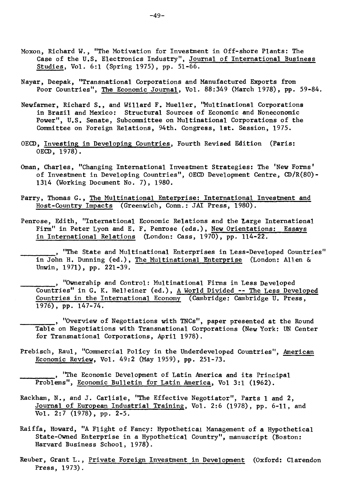- Moxon, Richard W., "The Motivation for Investment in Off-shore Plants: The Case of the U.S. Electronics Industry", Journal of International Business Studies, Vol. 6:1 (Spring 1975), pp. 51-66.
- Nayar, Deepak, "Transnational Corporations and Manufactured Exporta from Poor Countries", The Economic Journal, Vol. 88:349 (March 1978), pp. 59-84.
- Newfarmer, Richard S., and Willard F. Mueller, "Multinational Corporations in Brazil and Mexico: Structural Sources of Economic and Noneconomic Power", U.S. Senate, Subcommittee on Multinational Corporations of the Committee on Foreign Relations, 94th. Congress, lst. Session, 1975.
- OECD, Investing in Developing Countries, Fourth Revised Edition (Paris: OECD, 1978).
- Oman, Charles, "Changing International Investment Strategies: The 'New Forms' of Investment in Developing Countries", OECD Development Centre, CD/R(80)- 1314 (Working Document No. 7), 1980.
- Parry, Thomas G., The Multinational Enterprise: International Investment and Host-Country Impacts (Greenwich, Conn.: JAI Press, 1980).
- Penrose, Edith, "International Economic Relations and the Large International Firm" in Peter Lyon and E. F. Penrose (eds.), New Orientations: Essays in International Relations (London: Cass, 1970), pp. 114-22.
- , "The State and Multinational Enterprises in Less-Developed Countries" in John H. Dunning (ed.), The Multinational Enterprise (London: Allen & Unwin, 1971), pp. 221-39.
- "Ownership and Control: Multinational Firms in Less Developed Countries" in G. K. Helleiner (ed.), A World Divided -- The Less Developed Countries in the International Economy (Cambridge: Cambridge U. Press, 1976), pp. 147-74.
- , "Overview of Negotiations with TNCs", paper presented at the Round Table on Negotiations with Transnational Corporations (New York: UN Center for Transnational Corporations, April 1978).
- Prebisch, Raul, "Commercial Policy in the Underdeveloped Countries", American Economic Review, Vol. 49:2 (May 1959), pp. 251-73.

"The Economic Development of Latin America and its Principal Problems", Economic Bulletin for Latin America, Vol 3:1 (1962).

- Rackham, N., and J. Carlisle, "The Effective Negotiator", Parts 1 and 2, Journal of European Industrial Training, Vol. 2:6 (1978), pp. 6-11, and Vol. 2:7 (1978), pp. 2-5.
- Raiffa, Howard, "A Flight of Fancy: Hypothetical Management of a Hypothetical State-Owned Enterprise in a Hypothetical Country", manuscript (Boston: Harvard Business School, 1978).
- Reuber, Grant L., Private Foreign Investment in Development (Oxford: Clarendon Press, 1973).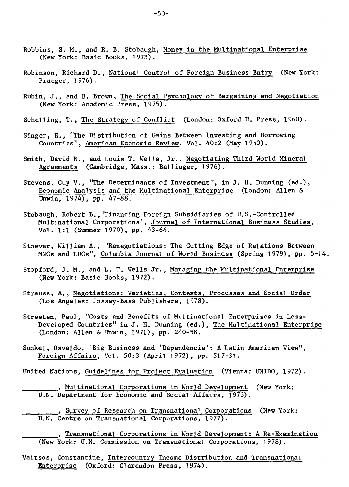- Robbins, S. M., and R. B. Stobaugh, Money in the Multinational. Enterprise (New York: Basic Books, 1973).
- Robinson, Richard D., National Control of Foreign Business Entry (New York: Praeger, 1976).
- Rubin, J., and B. Brown, The Social Psychology of Bargaining and Negotiation (New York: Academic Press, 1975).
- Schelling, T., The Strategy of Conflict (London: Oxford U. Press, 1960).
- Singer, H., "The Distribution of Gains Between Investing and Borrowing Countries", American Economic Review, Vol. 40:2 (May 1950).
- Smith, David N., and Louis T. Wells, Jr., Negotiating Third World Mineral Agreements (Cambridge, Mass.: Ballinger, 1976).
- Stevens, Guy V., "The Determinants of Investment", in J. H. Dunning (ed.), Economic Analysis and the Multinational Enterprise (London: Allen & Unwin, 1974), pp. 47-88.
- Stobaugh, Robert B.,'Financing Foreign Subsidiaries of U.S.-Controlled Multinational Corporations", Journal of International Business Studies, Vol. 1:1 (Summer 1970), pp. 43-64.
- Stoever, William A., "Renegotiations: The Cutting Edge of Relations Between MNCs and LDCs", Columbia Journal of World Business (Spring 1979), pp. 5-14.
- Stopford, J. M., and L. T. Wells Jr., Managing the Multinational Enterprise (New York: Basic Books, 1972).
- Strauss, A., Negotiations: Varieties, Contexts, Processes and Social Order (Los Angeles: Jossey-Bass Publishers, 1978).
- Streeten, Paul, "Costs and Benefits of Multinational Enterprises in Less-Developed Countries" in J. H. Dunning (ed.), The Multinational Enterprise (London: Allen & Unwin, 1971), pp. 240-58.
- Sunkel, Osvaldo, "Big Business and 'Dependencia': A Latin American View", Foreign Affairs, Vol. 50:3 (April 1972), pp. 517-31.
- United Nations, Guidelines for Project Evaluation (Vienne: UNIDO, 1972).
	- , Multinational Corporations in World Development (New York: U.N. Department for Economic and Social Affairs, 1973).
	- , Survey of Research on Transnational Corporations (New York: U.N. Centre on Transnational Corporations, 1977).
	- , Transnational Corporations in World Development: A Re-Examination (New York: U.N. Commission on Transnational Corporations, 1978).
- Vaitsos, Constantine, Intercountry Income Distribution and Transnational Enterprise (Oxford: Clarendon Press, 1974).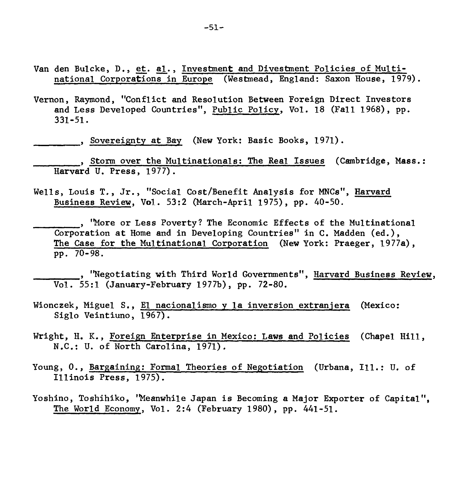- Van den Bulcke, D., et. al., Investment and Divestment Policies of Multinational Corporations in Europe (Westmead, England: Saxon House, 1979).
- Vernon, Raymond, "Conflict and Resolution Between Foreign Direct Investors and Less Developed Countries", Public Policy, Vol. 18 (Fall 1968), pp. 331-51.

, Sovereignty at Bay (New York: Basic Books, 1971).

, Storm over the Multinationals: The Real Issues (Cambridge, Mass.: Harvard U. Press, 1977).

Wells, Louis T., Jr., "Social Cost/Benefit Analysis for MNCs", Harvard Business Review, Vol. 53:2 (March-April 1975), pp. 40-50.

"More or Less Poverty? The Economic Effects of the Multinational Corporation at Home and in Developing Countries" in C. Madden (ed.), The Case for the Multinational Corporation (New York: Praeger, 1977a), pp• 70-98.

, "Negotiating with Third World Governments", Harvard Business Review, Vol. 55:1 (January-February 1977b), pp. 72-80.

- Wionczek, Miguel S., El nacionalismo y la inversion extranjera (Mexico: Siglo Veintiuno, 1967).
- Wright, H. K., Foreign Enterprise in Mexico: Laws and Policies (Chapel Hill, N.C.: U. of North Carolina, 1971).
- Young, O., Bargaining: Formal Theories of Negotiation (Urbana, Ill.: U. of Illinois Press, 1975).
- Yoshino, Toshihiko, "Meanwhile Japan is Becoming a Major Exporter of Capital", The World Economy, Vol. 2:4 (February 1980), pp. 441-51.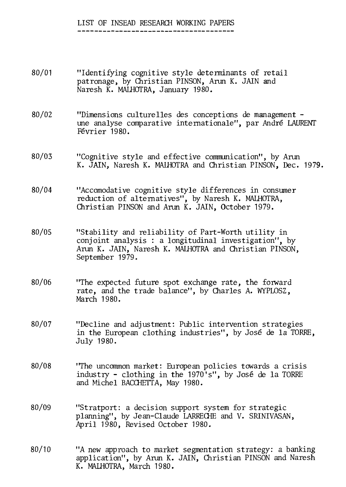# LIST OF INSEAD RESEARCH WORKING PAPERS

- 80/01 "Identifying cognitive style determinants of retail patronage, by Christian PINSON, Arun K. JAIN and Naresh K. MALHOTRA, January 1980.
- 80/02 "Dimensions culturelles des conceptions de management une analyse comparative internationale", par André LAURENT Février 1980.
- 80/03 "Cognitive style and effective communication", by Arun K. JAIN, Naresh K. MAIHOTRA and Christian PINSON, Dec. 1979.
- 80/04 "Accomodative cognitive style differences in consumer reduction of alternatives", by Naresh K. MALHOTRA, Christian PINSON and Arun K. JAIN, October 1979.
- 80/05 "Stability and reliability of Part-Worth utility in conjoint analysis : a longitudinal investigation", by Arun K. JAIN, Naresh K. MALHOTRA and Christian PINSON, September 1979.
- 80/06 "The expected future spot exchange rate, the forward rate, and the trade balance", by Charles A. WYPLOSZ, March 1980.
- 80/07 "Decline and adjustment: Public intervention strategies in the European clothing industries", by José de la TORRE, July 1980.
- 80/08 "The uncommon market: European policies towards a crisis industry - clothing in the 1970's", by José de la TORRE and Michel BACCHETTA, May 1980.
- 80/09 "Stratport: a decision support system for strategic planning", by Jean-Claude LARRECHE and V. SRINIVASAN, April 1980, Revised October 1980.
- 80/10 "A new approadh to market segmentation strategy: a banking application", by Arun K. JAIN, Christian PINSON and Naresh K. MALHOTRA, March 1980.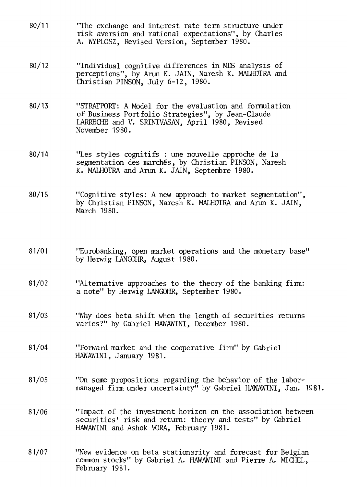- 80/11 "The exchange and interest rate term structure under risk aversion and rational expectations", by Charles A. WYPLOSZ, Revised Version, September 1980.
- 80/12 "Individual cognitive differences in MES analysis of perceptions", by Arun K. JAIN, Naresh K. MALHOTRA and Christian PINSON, July 6-12, 1980.
- 80/13 "STRATPORT: A Model for the evaluation and formulation of Business Portfolio Strategies", by Jean-Claude LARRECHE and V. SRINIVASAN, April 1980, Revised November 1980.
- 80/14 "Les styles cognitifs : une nouvelle approche de la segmentation des marchés, by Christian PINSON, Naresh K. MALHOTRA and Arun K. JAIN, Septembre 1980.
- 80/15 "Cognitive styles: A new approach to market segmentation", by Christian PINSON, Naresh K. MALHOTRA and Arun K. JAIN, March 1980.
- 81/01 "Eurobanking, open market operations and the monetary base" by Herwig LANGOHR, August 1980.
- 81/02 "Alternative approaches to the theory of the banking firm: a note" by Herwig LANGOHR, September 1980.
- 81/03 "Why does beta shift when the length of securities returns varies?" by Gabriel HAWAWINI, December 1980.
- 81/04 "Forward market and the cooperative firm" by Gabriel HAWAWINI, January 1981.
- 81/05 "On some propositions regarding the behavior of the labormanaged firm under uncertainty" by Gabriel HAWAWINI, Jan. 1981.
- 81/06 "Impact of the investment horizon on the association between securities' risk and return: theory and tests" by Gabriel HAWAWINI and Ashok VORA, February 1981.
- 81/07 "New evidence on beta stationarity and forecast for Belgian common stocks" by Gabriel A. HAWAWINI and Pierre A. MICHEL, February 1981.